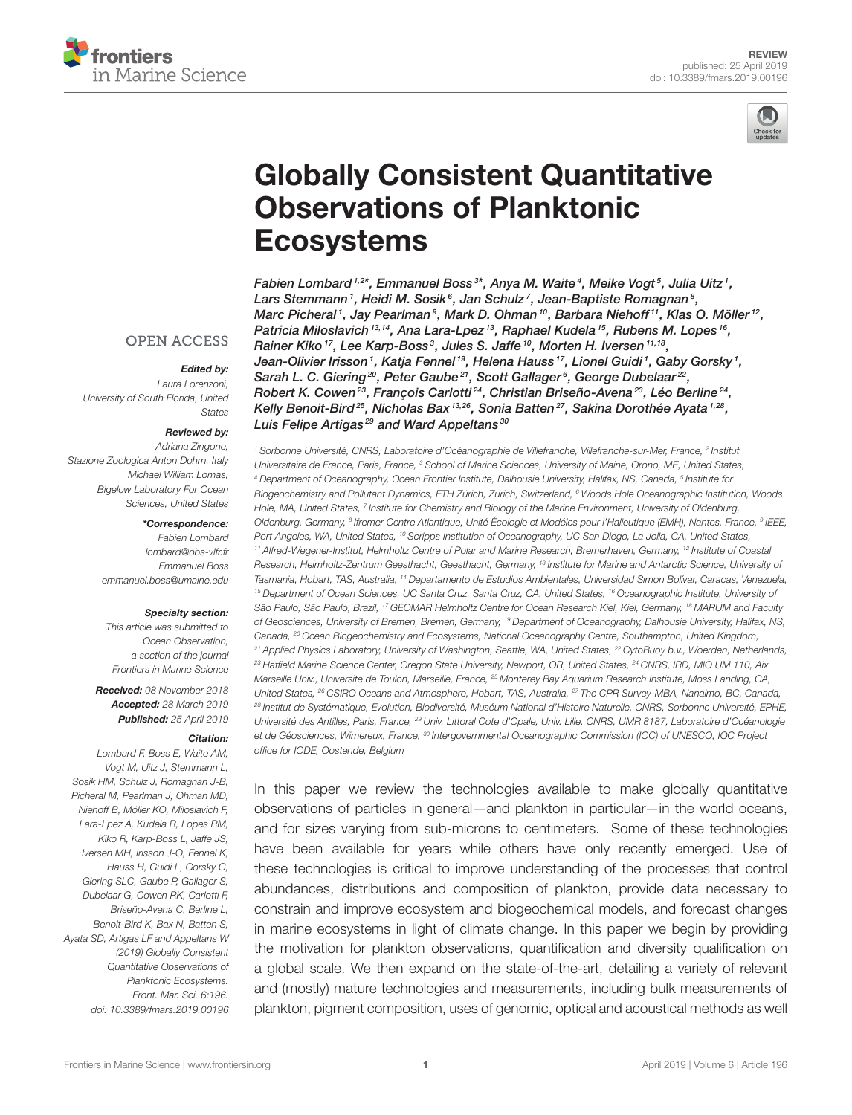



# [Globally Consistent Quantitative](https://www.frontiersin.org/articles/10.3389/fmars.2019.00196/full) Observations of Planktonic Ecosystems

[Fabien Lombard](http://loop.frontiersin.org/people/606116/overview) 1,2\*, [Emmanuel Boss](http://loop.frontiersin.org/people/423697/overview) 3\*, Anya M. Waite <sup>4</sup>, Meike Vogt <sup>5</sup>, [Julia Uitz](http://loop.frontiersin.org/people/156627/overview) <sup>1</sup>, [Lars Stemmann](http://loop.frontiersin.org/people/333727/overview)1, [Heidi M. Sosik](http://loop.frontiersin.org/people/619076/overview) $^6$ , Jan Schulz1, Jean-Baptiste Romagnan $^8$ , [Marc Picheral](http://loop.frontiersin.org/people/663750/overview)1, [Jay Pearlman](http://loop.frontiersin.org/people/479805/overview)<sup>9</sup>, [Mark D. Ohman](http://loop.frontiersin.org/people/686374/overview)<sup>10</sup>, Barbara Niehoff<sup>11</sup>, [Klas O. Möller](http://loop.frontiersin.org/people/581980/overview)<sup>12</sup>, [Patricia Miloslavich](http://loop.frontiersin.org/people/493547/overview) 13,14, [Ana Lara-Lpez](http://loop.frontiersin.org/people/366809/overview) 13, [Raphael Kudela](http://loop.frontiersin.org/people/358896/overview) 15, [Rubens M. Lopes](http://loop.frontiersin.org/people/48792/overview) 16, [Rainer Kiko](http://loop.frontiersin.org/people/343923/overview) 17, [Lee Karp-Boss](http://loop.frontiersin.org/people/613088/overview) 3, Jules S. Jaffe 10, [Morten H. Iversen](http://loop.frontiersin.org/people/363766/overview) 11,18, [Jean-Olivier Irisson](http://loop.frontiersin.org/people/581061/overview)1, Katja Fennel<sup>19</sup>, [Helena Hauss](http://loop.frontiersin.org/people/320569/overview)<sup>17</sup>, [Lionel Guidi](http://loop.frontiersin.org/people/199627/overview)1, [Gaby Gorsky](http://loop.frontiersin.org/people/640145/overview)<sup>1</sup>, [Sarah L. C. Giering](http://loop.frontiersin.org/people/324712/overview)<sup>20</sup>, [Peter Gaube](http://loop.frontiersin.org/people/564231/overview)<sup>21</sup>, Scott Gallager<sup>6</sup>, [George Dubelaar](http://loop.frontiersin.org/people/690912/overview)<sup>22</sup>, [Robert K. Cowen](http://loop.frontiersin.org/people/686608/overview)<sup>23</sup>, François Carlotti<sup>24</sup>, Christian Briseño-Avena<sup>23</sup>, Léo Berline<sup>24</sup>, [Kelly Benoit-Bird](http://loop.frontiersin.org/people/636717/overview)<sup>25</sup>, [Nicholas Bax](http://loop.frontiersin.org/people/376799/overview)<sup>13,26</sup>, [Sonia Batten](http://loop.frontiersin.org/people/230081/overview)<sup>27</sup>, [Sakina Dorothée Ayata](http://loop.frontiersin.org/people/243326/overview)<sup>1,28</sup>, Luis Felipe Artigas<sup>29</sup> and [Ward Appeltans](http://loop.frontiersin.org/people/538133/overview)<sup>30</sup>

<sup>1</sup> Sorbonne Université, CNRS, Laboratoire d'Océanographie de Villefranche, Villefranche-sur-Mer, France, <sup>2</sup> Institut Universitaire de France, Paris, France, <sup>3</sup> School of Marine Sciences, University of Maine, Orono, ME, United States, <sup>4</sup> Department of Oceanography, Ocean Frontier Institute, Dalhousie University, Halifax, NS, Canada, <sup>5</sup> Institute for Biogeochemistry and Pollutant Dynamics, ETH Zürich, Zurich, Switzerland, <sup>6</sup> Woods Hole Oceanographic Institution, Woods Hole, MA, United States, <sup>7</sup> Institute for Chemistry and Biology of the Marine Environment, University of Oldenburg, Oldenburg, Germany, <sup>s</sup> lfremer Centre Atlantique, Unité Écologie et Modéles pour l'Halieutique (EMH), Nantes, France, <sup>s</sup> IEEE, Port Angeles, WA, United States, <sup>10</sup> Scripps Institution of Oceanography, UC San Diego, La Jolla, CA, United States, <sup>11</sup> Alfred-Wegener-Institut, Helmholtz Centre of Polar and Marine Research, Bremerhaven, Germany, <sup>12</sup> Institute of Coastal Research, Helmholtz-Zentrum Geesthacht, Geesthacht, Germany, <sup>13</sup> Institute for Marine and Antarctic Science, University of Tasmania, Hobart, TAS, Australia, <sup>14</sup> Departamento de Estudios Ambientales, Universidad Simon Bolívar, Caracas, Venezuela, 15 Department of Ocean Sciences, UC Santa Cruz, Santa Cruz, CA, United States, <sup>16</sup> Oceanographic Institute, University of São Paulo, São Paulo, Brazil, <sup>17</sup> GEOMAR Helmholtz Centre for Ocean Research Kiel, Kiel, Germany, <sup>18</sup> MARUM and Faculty of Geosciences, University of Bremen, Bremen, Germany, <sup>19</sup> Department of Oceanography, Dalhousie University, Halifax, NS, Canada, <sup>20</sup> Ocean Biogeochemistry and Ecosystems, National Oceanography Centre, Southampton, United Kingdom, <sup>21</sup> Applied Physics Laboratory, University of Washington, Seattle, WA, United States, <sup>22</sup> CytoBuoy b.v., Woerden, Netherlands, <sup>23</sup> Hatfield Marine Science Center, Oregon State University, Newport, OR, United States, <sup>24</sup> CNRS, IRD, MIO UM 110, Aix Marseille Univ., Universite de Toulon, Marseille, France, <sup>25</sup> Monterey Bay Aquarium Research Institute, Moss Landing, CA, United States, <sup>26</sup> CSIRO Oceans and Atmosphere, Hobart, TAS, Australia, <sup>27</sup> The CPR Survey-MBA, Nanaimo, BC, Canada, <sup>28</sup> Institut de Systématique, Evolution, Biodiversité, Muséum National d'Histoire Naturelle, CNRS, Sorbonne Université, EPHE, Université des Antilles, Paris, France, <sup>29</sup> Univ. Littoral Cote d'Opale, Univ. Lille, CNRS, UMR 8187, Laboratoire d'Océanologie et de Géosciences, Wimereux, France, <sup>30</sup> Intergovernmental Oceanographic Commission (IOC) of UNESCO, IOC Project office for IODE, Oostende, Belgium

In this paper we review the technologies available to make globally quantitative observations of particles in general—and plankton in particular—in the world oceans, and for sizes varying from sub-microns to centimeters. Some of these technologies have been available for years while others have only recently emerged. Use of these technologies is critical to improve understanding of the processes that control abundances, distributions and composition of plankton, provide data necessary to constrain and improve ecosystem and biogeochemical models, and forecast changes in marine ecosystems in light of climate change. In this paper we begin by providing the motivation for plankton observations, quantification and diversity qualification on a global scale. We then expand on the state-of-the-art, detailing a variety of relevant and (mostly) mature technologies and measurements, including bulk measurements of plankton, pigment composition, uses of genomic, optical and acoustical methods as well

#### **OPEN ACCESS**

#### Edited by:

Laura Lorenzoni, University of South Florida, United States

#### Reviewed by:

Adriana Zingone, Stazione Zoologica Anton Dohrn, Italy Michael William Lomas, Bigelow Laboratory For Ocean Sciences, United States

#### \*Correspondence:

Fabien Lombard [lombard@obs-vlfr.fr](mailto:lombard@obs-vlfr.fr) Emmanuel Boss [emmanuel.boss@umaine.edu](mailto:emmanuel.boss@umaine.edu)

#### Specialty section:

This article was submitted to Ocean Observation, a section of the journal Frontiers in Marine Science

Received: 08 November 2018 Accepted: 28 March 2019 Published: 25 April 2019

#### Citation:

Lombard F, Boss E, Waite AM, Vogt M, Uitz J, Stemmann L, Sosik HM, Schulz J, Romagnan J-B, Picheral M, Pearlman J, Ohman MD, Niehoff B, Möller KO, Miloslavich P, Lara-Lpez A, Kudela R, Lopes RM, Kiko R, Karp-Boss L, Jaffe JS, Iversen MH, Irisson J-O, Fennel K, Hauss H, Guidi L, Gorsky G, Giering SLC, Gaube P, Gallager S, Dubelaar G, Cowen RK, Carlotti F, Briseño-Avena C, Berline L, Benoit-Bird K, Bax N, Batten S, Ayata SD, Artigas LF and Appeltans W (2019) Globally Consistent Quantitative Observations of Planktonic Ecosystems. Front. Mar. Sci. 6:196. doi: [10.3389/fmars.2019.00196](https://doi.org/10.3389/fmars.2019.00196)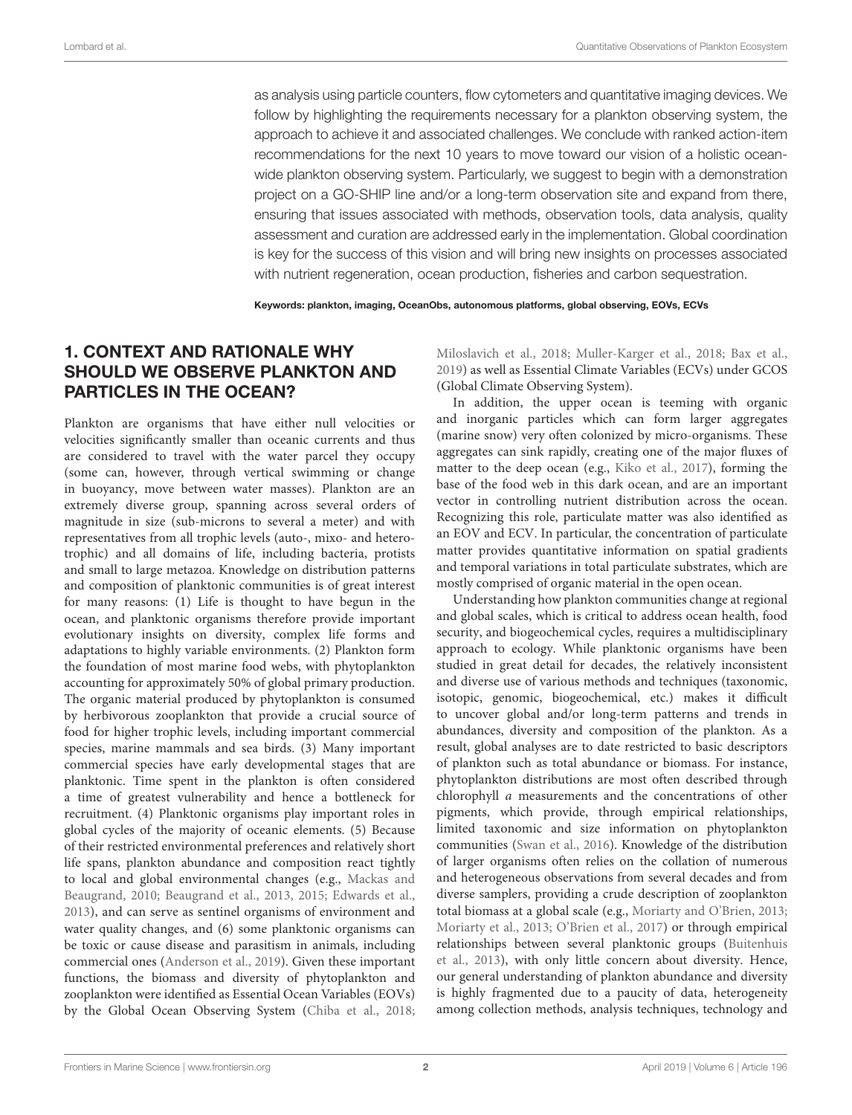as analysis using particle counters, flow cytometers and quantitative imaging devices. We follow by highlighting the requirements necessary for a plankton observing system, the approach to achieve it and associated challenges. We conclude with ranked action-item recommendations for the next 10 years to move toward our vision of a holistic oceanwide plankton observing system. Particularly, we suggest to begin with a demonstration project on a GO-SHIP line and/or a long-term observation site and expand from there, ensuring that issues associated with methods, observation tools, data analysis, quality assessment and curation are addressed early in the implementation. Global coordination is key for the success of this vision and will bring new insights on processes associated with nutrient regeneration, ocean production, fisheries and carbon sequestration.

Keywords: plankton, imaging, OceanObs, autonomous platforms, global observing, EOVs, ECVs

### 1. CONTEXT AND RATIONALE WHY SHOULD WE OBSERVE PLANKTON AND PARTICLES IN THE OCEAN?

Plankton are organisms that have either null velocities or velocities significantly smaller than oceanic currents and thus are considered to travel with the water parcel they occupy (some can, however, through vertical swimming or change in buoyancy, move between water masses). Plankton are an extremely diverse group, spanning across several orders of magnitude in size (sub-microns to several a meter) and with representatives from all trophic levels (auto-, mixo- and heterotrophic) and all domains of life, including bacteria, protists and small to large metazoa. Knowledge on distribution patterns and composition of planktonic communities is of great interest for many reasons: (1) Life is thought to have begun in the ocean, and planktonic organisms therefore provide important evolutionary insights on diversity, complex life forms and adaptations to highly variable environments. (2) Plankton form the foundation of most marine food webs, with phytoplankton accounting for approximately 50% of global primary production. The organic material produced by phytoplankton is consumed by herbivorous zooplankton that provide a crucial source of food for higher trophic levels, including important commercial species, marine mammals and sea birds. (3) Many important commercial species have early developmental stages that are planktonic. Time spent in the plankton is often considered a time of greatest vulnerability and hence a bottleneck for recruitment. (4) Planktonic organisms play important roles in global cycles of the majority of oceanic elements. (5) Because of their restricted environmental preferences and relatively short life spans, plankton abundance and composition react tightly to local and global environmental changes (e.g., Mackas and Beaugrand, [2010;](#page-18-0) [Beaugrand et al., 2013,](#page-15-0) [2015;](#page-15-1) [Edwards et al.,](#page-17-0) [2013\)](#page-17-0), and can serve as sentinel organisms of environment and water quality changes, and (6) some planktonic organisms can be toxic or cause disease and parasitism in animals, including commercial ones [\(Anderson et al., 2019\)](#page-15-2). Given these important functions, the biomass and diversity of phytoplankton and zooplankton were identified as Essential Ocean Variables (EOVs) by the Global Ocean Observing System [\(Chiba et al., 2018;](#page-16-0) [Miloslavich et al., 2018;](#page-18-1) [Muller-Karger et al., 2018;](#page-18-2) [Bax et al.,](#page-15-3) [2019\)](#page-15-3) as well as Essential Climate Variables (ECVs) under GCOS (Global Climate Observing System).

In addition, the upper ocean is teeming with organic and inorganic particles which can form larger aggregates (marine snow) very often colonized by micro-organisms. These aggregates can sink rapidly, creating one of the major fluxes of matter to the deep ocean (e.g., [Kiko et al., 2017\)](#page-18-3), forming the base of the food web in this dark ocean, and are an important vector in controlling nutrient distribution across the ocean. Recognizing this role, particulate matter was also identified as an EOV and ECV. In particular, the concentration of particulate matter provides quantitative information on spatial gradients and temporal variations in total particulate substrates, which are mostly comprised of organic material in the open ocean.

Understanding how plankton communities change at regional and global scales, which is critical to address ocean health, food security, and biogeochemical cycles, requires a multidisciplinary approach to ecology. While planktonic organisms have been studied in great detail for decades, the relatively inconsistent and diverse use of various methods and techniques (taxonomic, isotopic, genomic, biogeochemical, etc.) makes it difficult to uncover global and/or long-term patterns and trends in abundances, diversity and composition of the plankton. As a result, global analyses are to date restricted to basic descriptors of plankton such as total abundance or biomass. For instance, phytoplankton distributions are most often described through chlorophyll a measurements and the concentrations of other pigments, which provide, through empirical relationships, limited taxonomic and size information on phytoplankton communities [\(Swan et al., 2016\)](#page-19-0). Knowledge of the distribution of larger organisms often relies on the collation of numerous and heterogeneous observations from several decades and from diverse samplers, providing a crude description of zooplankton total biomass at a global scale (e.g., [Moriarty and O'Brien, 2013;](#page-18-4) [Moriarty et al., 2013;](#page-18-5) [O'Brien et al., 2017\)](#page-18-6) or through empirical relationships between several planktonic groups (Buitenhuis et al., [2013\)](#page-16-1), with only little concern about diversity. Hence, our general understanding of plankton abundance and diversity is highly fragmented due to a paucity of data, heterogeneity among collection methods, analysis techniques, technology and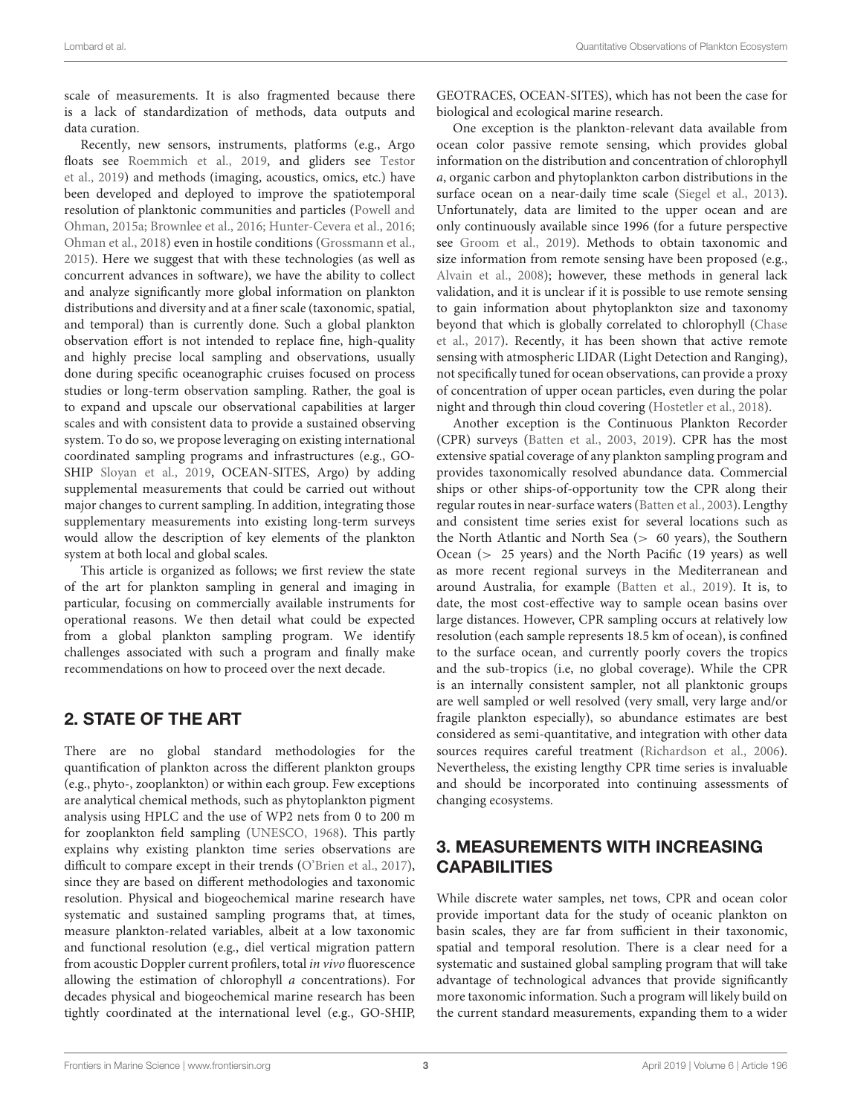scale of measurements. It is also fragmented because there is a lack of standardization of methods, data outputs and data curation.

Recently, new sensors, instruments, platforms (e.g., Argo floats see [Roemmich et al., 2019,](#page-19-1) and gliders see Testor et al., [2019\)](#page-19-2) and methods (imaging, acoustics, omics, etc.) have been developed and deployed to improve the spatiotemporal resolution of planktonic communities and particles (Powell and Ohman, [2015a;](#page-18-7) [Brownlee et al., 2016;](#page-16-2) [Hunter-Cevera et al., 2016;](#page-17-1) [Ohman et al., 2018\)](#page-18-8) even in hostile conditions [\(Grossmann et al.,](#page-17-2) [2015\)](#page-17-2). Here we suggest that with these technologies (as well as concurrent advances in software), we have the ability to collect and analyze significantly more global information on plankton distributions and diversity and at a finer scale (taxonomic, spatial, and temporal) than is currently done. Such a global plankton observation effort is not intended to replace fine, high-quality and highly precise local sampling and observations, usually done during specific oceanographic cruises focused on process studies or long-term observation sampling. Rather, the goal is to expand and upscale our observational capabilities at larger scales and with consistent data to provide a sustained observing system. To do so, we propose leveraging on existing international coordinated sampling programs and infrastructures (e.g., GO-SHIP [Sloyan et al., 2019,](#page-19-3) OCEAN-SITES, Argo) by adding supplemental measurements that could be carried out without major changes to current sampling. In addition, integrating those supplementary measurements into existing long-term surveys would allow the description of key elements of the plankton system at both local and global scales.

This article is organized as follows; we first review the state of the art for plankton sampling in general and imaging in particular, focusing on commercially available instruments for operational reasons. We then detail what could be expected from a global plankton sampling program. We identify challenges associated with such a program and finally make recommendations on how to proceed over the next decade.

### 2. STATE OF THE ART

There are no global standard methodologies for the quantification of plankton across the different plankton groups (e.g., phyto-, zooplankton) or within each group. Few exceptions are analytical chemical methods, such as phytoplankton pigment analysis using HPLC and the use of WP2 nets from 0 to 200 m for zooplankton field sampling [\(UNESCO, 1968\)](#page-19-4). This partly explains why existing plankton time series observations are difficult to compare except in their trends [\(O'Brien et al., 2017\)](#page-18-6), since they are based on different methodologies and taxonomic resolution. Physical and biogeochemical marine research have systematic and sustained sampling programs that, at times, measure plankton-related variables, albeit at a low taxonomic and functional resolution (e.g., diel vertical migration pattern from acoustic Doppler current profilers, total in vivo fluorescence allowing the estimation of chlorophyll a concentrations). For decades physical and biogeochemical marine research has been tightly coordinated at the international level (e.g., GO-SHIP, GEOTRACES, OCEAN-SITES), which has not been the case for biological and ecological marine research.

One exception is the plankton-relevant data available from ocean color passive remote sensing, which provides global information on the distribution and concentration of chlorophyll a, organic carbon and phytoplankton carbon distributions in the surface ocean on a near-daily time scale [\(Siegel et al., 2013\)](#page-19-5). Unfortunately, data are limited to the upper ocean and are only continuously available since 1996 (for a future perspective see [Groom et al., 2019\)](#page-17-3). Methods to obtain taxonomic and size information from remote sensing have been proposed (e.g., [Alvain et al., 2008\)](#page-15-4); however, these methods in general lack validation, and it is unclear if it is possible to use remote sensing to gain information about phytoplankton size and taxonomy beyond that which is globally correlated to chlorophyll (Chase et al., [2017\)](#page-16-3). Recently, it has been shown that active remote sensing with atmospheric LIDAR (Light Detection and Ranging), not specifically tuned for ocean observations, can provide a proxy of concentration of upper ocean particles, even during the polar night and through thin cloud covering [\(Hostetler et al., 2018\)](#page-17-4).

Another exception is the Continuous Plankton Recorder (CPR) surveys [\(Batten et al., 2003,](#page-15-5) [2019\)](#page-15-6). CPR has the most extensive spatial coverage of any plankton sampling program and provides taxonomically resolved abundance data. Commercial ships or other ships-of-opportunity tow the CPR along their regular routes in near-surface waters [\(Batten et al., 2003\)](#page-15-5). Lengthy and consistent time series exist for several locations such as the North Atlantic and North Sea (> 60 years), the Southern Ocean (> 25 years) and the North Pacific (19 years) as well as more recent regional surveys in the Mediterranean and around Australia, for example [\(Batten et al., 2019\)](#page-15-6). It is, to date, the most cost-effective way to sample ocean basins over large distances. However, CPR sampling occurs at relatively low resolution (each sample represents 18.5 km of ocean), is confined to the surface ocean, and currently poorly covers the tropics and the sub-tropics (i.e, no global coverage). While the CPR is an internally consistent sampler, not all planktonic groups are well sampled or well resolved (very small, very large and/or fragile plankton especially), so abundance estimates are best considered as semi-quantitative, and integration with other data sources requires careful treatment [\(Richardson et al., 2006\)](#page-19-6). Nevertheless, the existing lengthy CPR time series is invaluable and should be incorporated into continuing assessments of changing ecosystems.

# 3. MEASUREMENTS WITH INCREASING **CAPABILITIES**

While discrete water samples, net tows, CPR and ocean color provide important data for the study of oceanic plankton on basin scales, they are far from sufficient in their taxonomic, spatial and temporal resolution. There is a clear need for a systematic and sustained global sampling program that will take advantage of technological advances that provide significantly more taxonomic information. Such a program will likely build on the current standard measurements, expanding them to a wider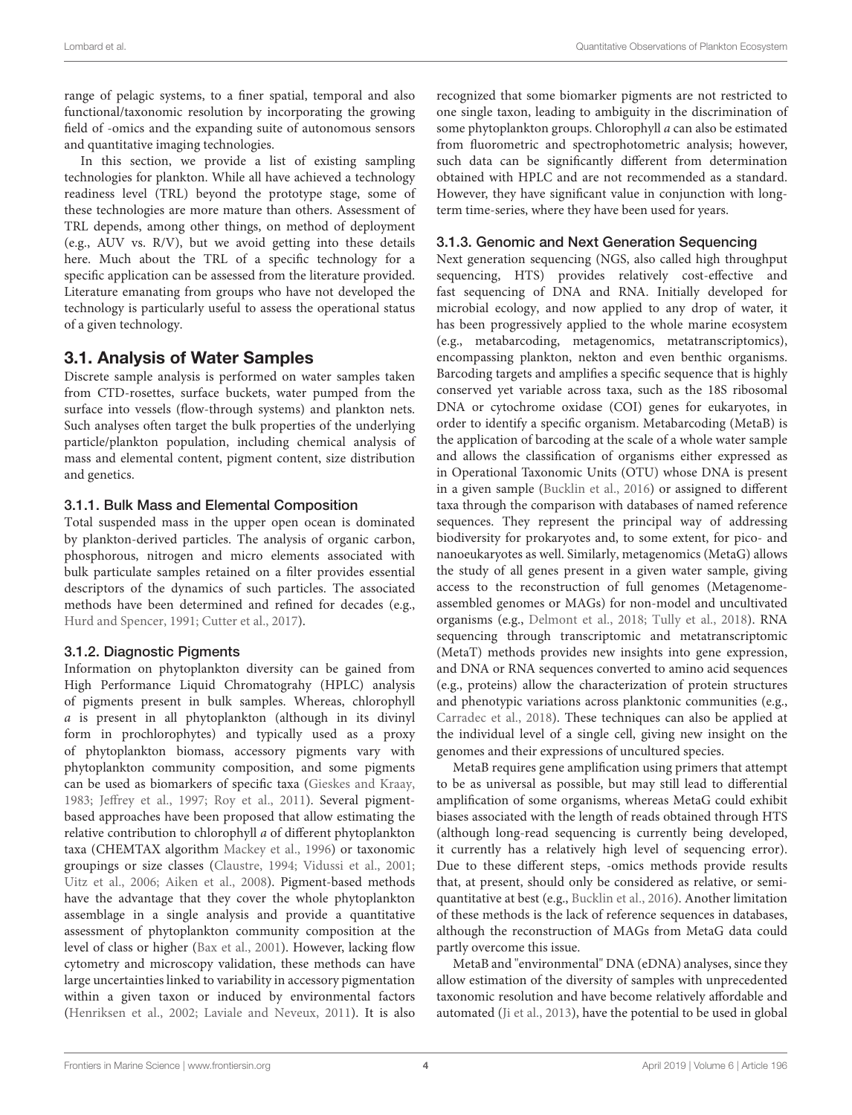range of pelagic systems, to a finer spatial, temporal and also functional/taxonomic resolution by incorporating the growing field of -omics and the expanding suite of autonomous sensors and quantitative imaging technologies.

In this section, we provide a list of existing sampling technologies for plankton. While all have achieved a technology readiness level (TRL) beyond the prototype stage, some of these technologies are more mature than others. Assessment of TRL depends, among other things, on method of deployment (e.g., AUV vs. R/V), but we avoid getting into these details here. Much about the TRL of a specific technology for a specific application can be assessed from the literature provided. Literature emanating from groups who have not developed the technology is particularly useful to assess the operational status of a given technology.

#### 3.1. Analysis of Water Samples

Discrete sample analysis is performed on water samples taken from CTD-rosettes, surface buckets, water pumped from the surface into vessels (flow-through systems) and plankton nets. Such analyses often target the bulk properties of the underlying particle/plankton population, including chemical analysis of mass and elemental content, pigment content, size distribution and genetics.

#### 3.1.1. Bulk Mass and Elemental Composition

Total suspended mass in the upper open ocean is dominated by plankton-derived particles. The analysis of organic carbon, phosphorous, nitrogen and micro elements associated with bulk particulate samples retained on a filter provides essential descriptors of the dynamics of such particles. The associated methods have been determined and refined for decades (e.g., [Hurd and Spencer, 1991;](#page-17-5) [Cutter et al., 2017\)](#page-16-4).

#### 3.1.2. Diagnostic Pigments

Information on phytoplankton diversity can be gained from High Performance Liquid Chromatograhy (HPLC) analysis of pigments present in bulk samples. Whereas, chlorophyll a is present in all phytoplankton (although in its divinyl form in prochlorophytes) and typically used as a proxy of phytoplankton biomass, accessory pigments vary with phytoplankton community composition, and some pigments can be used as biomarkers of specific taxa [\(Gieskes and Kraay,](#page-17-6) [1983;](#page-17-6) [Jeffrey et al., 1997;](#page-17-7) [Roy et al., 2011\)](#page-19-7). Several pigmentbased approaches have been proposed that allow estimating the relative contribution to chlorophyll a of different phytoplankton taxa (CHEMTAX algorithm [Mackey et al., 1996\)](#page-18-9) or taxonomic groupings or size classes [\(Claustre, 1994;](#page-16-5) [Vidussi et al., 2001;](#page-20-0) [Uitz et al., 2006;](#page-19-8) [Aiken et al., 2008\)](#page-15-7). Pigment-based methods have the advantage that they cover the whole phytoplankton assemblage in a single analysis and provide a quantitative assessment of phytoplankton community composition at the level of class or higher [\(Bax et al., 2001\)](#page-15-8). However, lacking flow cytometry and microscopy validation, these methods can have large uncertainties linked to variability in accessory pigmentation within a given taxon or induced by environmental factors [\(Henriksen et al., 2002;](#page-17-8) [Laviale and Neveux, 2011\)](#page-18-10). It is also recognized that some biomarker pigments are not restricted to one single taxon, leading to ambiguity in the discrimination of some phytoplankton groups. Chlorophyll a can also be estimated from fluorometric and spectrophotometric analysis; however, such data can be significantly different from determination obtained with HPLC and are not recommended as a standard. However, they have significant value in conjunction with longterm time-series, where they have been used for years.

#### 3.1.3. Genomic and Next Generation Sequencing

Next generation sequencing (NGS, also called high throughput sequencing, HTS) provides relatively cost-effective and fast sequencing of DNA and RNA. Initially developed for microbial ecology, and now applied to any drop of water, it has been progressively applied to the whole marine ecosystem (e.g., metabarcoding, metagenomics, metatranscriptomics), encompassing plankton, nekton and even benthic organisms. Barcoding targets and amplifies a specific sequence that is highly conserved yet variable across taxa, such as the 18S ribosomal DNA or cytochrome oxidase (COI) genes for eukaryotes, in order to identify a specific organism. Metabarcoding (MetaB) is the application of barcoding at the scale of a whole water sample and allows the classification of organisms either expressed as in Operational Taxonomic Units (OTU) whose DNA is present in a given sample [\(Bucklin et al., 2016\)](#page-16-6) or assigned to different taxa through the comparison with databases of named reference sequences. They represent the principal way of addressing biodiversity for prokaryotes and, to some extent, for pico- and nanoeukaryotes as well. Similarly, metagenomics (MetaG) allows the study of all genes present in a given water sample, giving access to the reconstruction of full genomes (Metagenomeassembled genomes or MAGs) for non-model and uncultivated organisms (e.g., [Delmont et al., 2018;](#page-17-9) [Tully et al., 2018\)](#page-19-9). RNA sequencing through transcriptomic and metatranscriptomic (MetaT) methods provides new insights into gene expression, and DNA or RNA sequences converted to amino acid sequences (e.g., proteins) allow the characterization of protein structures and phenotypic variations across planktonic communities (e.g., [Carradec et al., 2018\)](#page-16-7). These techniques can also be applied at the individual level of a single cell, giving new insight on the genomes and their expressions of uncultured species.

MetaB requires gene amplification using primers that attempt to be as universal as possible, but may still lead to differential amplification of some organisms, whereas MetaG could exhibit biases associated with the length of reads obtained through HTS (although long-read sequencing is currently being developed, it currently has a relatively high level of sequencing error). Due to these different steps, -omics methods provide results that, at present, should only be considered as relative, or semiquantitative at best (e.g., [Bucklin et al., 2016\)](#page-16-6). Another limitation of these methods is the lack of reference sequences in databases, although the reconstruction of MAGs from MetaG data could partly overcome this issue.

MetaB and "environmental" DNA (eDNA) analyses, since they allow estimation of the diversity of samples with unprecedented taxonomic resolution and have become relatively affordable and automated [\(Ji et al., 2013\)](#page-17-10), have the potential to be used in global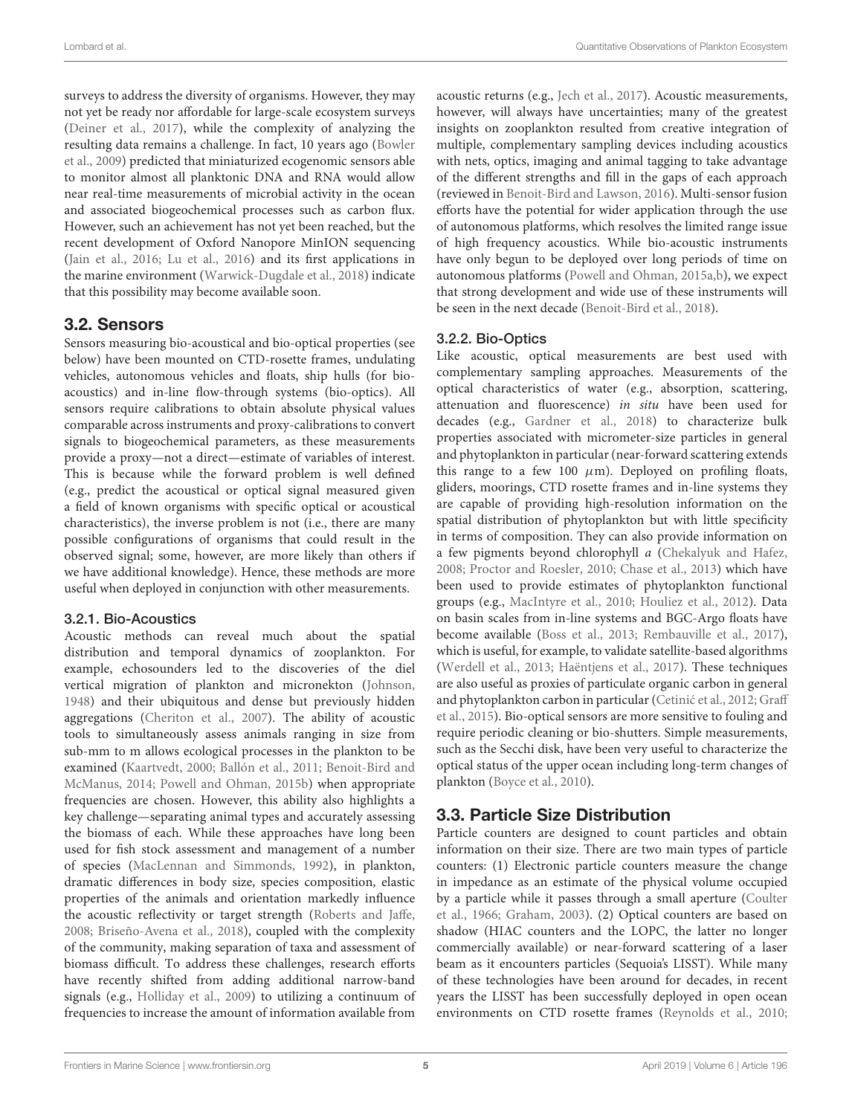surveys to address the diversity of organisms. However, they may not yet be ready nor affordable for large-scale ecosystem surveys [\(Deiner et al., 2017\)](#page-16-8), while the complexity of analyzing the resulting data remains a challenge. In fact, 10 years ago (Bowler et al., [2009\)](#page-16-9) predicted that miniaturized ecogenomic sensors able to monitor almost all planktonic DNA and RNA would allow near real-time measurements of microbial activity in the ocean and associated biogeochemical processes such as carbon flux. However, such an achievement has not yet been reached, but the recent development of Oxford Nanopore MinION sequencing [\(Jain et al., 2016;](#page-17-11) [Lu et al., 2016\)](#page-18-11) and its first applications in the marine environment [\(Warwick-Dugdale et al., 2018\)](#page-20-1) indicate that this possibility may become available soon.

#### 3.2. Sensors

Sensors measuring bio-acoustical and bio-optical properties (see below) have been mounted on CTD-rosette frames, undulating vehicles, autonomous vehicles and floats, ship hulls (for bioacoustics) and in-line flow-through systems (bio-optics). All sensors require calibrations to obtain absolute physical values comparable across instruments and proxy-calibrations to convert signals to biogeochemical parameters, as these measurements provide a proxy—not a direct—estimate of variables of interest. This is because while the forward problem is well defined (e.g., predict the acoustical or optical signal measured given a field of known organisms with specific optical or acoustical characteristics), the inverse problem is not (i.e., there are many possible configurations of organisms that could result in the observed signal; some, however, are more likely than others if we have additional knowledge). Hence, these methods are more useful when deployed in conjunction with other measurements.

#### 3.2.1. Bio-Acoustics

Acoustic methods can reveal much about the spatial distribution and temporal dynamics of zooplankton. For example, echosounders led to the discoveries of the diel vertical migration of plankton and micronekton [\(Johnson,](#page-18-12) [1948\)](#page-18-12) and their ubiquitous and dense but previously hidden aggregations [\(Cheriton et al., 2007\)](#page-16-10). The ability of acoustic tools to simultaneously assess animals ranging in size from sub-mm to m allows ecological processes in the plankton to be examined [\(Kaartvedt, 2000;](#page-18-13) [Ballón et al., 2011;](#page-15-9) Benoit-Bird and McManus, [2014;](#page-15-10) [Powell and Ohman, 2015b\)](#page-18-14) when appropriate frequencies are chosen. However, this ability also highlights a key challenge—separating animal types and accurately assessing the biomass of each. While these approaches have long been used for fish stock assessment and management of a number of species [\(MacLennan and Simmonds, 1992\)](#page-18-15), in plankton, dramatic differences in body size, species composition, elastic properties of the animals and orientation markedly influence the acoustic reflectivity or target strength [\(Roberts and Jaffe,](#page-19-10) [2008;](#page-19-10) [Briseño-Avena et al., 2018\)](#page-16-11), coupled with the complexity of the community, making separation of taxa and assessment of biomass difficult. To address these challenges, research efforts have recently shifted from adding additional narrow-band signals (e.g., [Holliday et al., 2009\)](#page-17-12) to utilizing a continuum of frequencies to increase the amount of information available from acoustic returns (e.g., [Jech et al., 2017\)](#page-17-13). Acoustic measurements, however, will always have uncertainties; many of the greatest insights on zooplankton resulted from creative integration of multiple, complementary sampling devices including acoustics with nets, optics, imaging and animal tagging to take advantage of the different strengths and fill in the gaps of each approach (reviewed in [Benoit-Bird and Lawson, 2016\)](#page-15-11). Multi-sensor fusion efforts have the potential for wider application through the use of autonomous platforms, which resolves the limited range issue of high frequency acoustics. While bio-acoustic instruments have only begun to be deployed over long periods of time on autonomous platforms [\(Powell and Ohman, 2015a](#page-18-7)[,b\)](#page-18-14), we expect that strong development and wide use of these instruments will be seen in the next decade [\(Benoit-Bird et al., 2018\)](#page-15-12).

#### 3.2.2. Bio-Optics

Like acoustic, optical measurements are best used with complementary sampling approaches. Measurements of the optical characteristics of water (e.g., absorption, scattering, attenuation and fluorescence) in situ have been used for decades (e.g., [Gardner et al., 2018\)](#page-17-14) to characterize bulk properties associated with micrometer-size particles in general and phytoplankton in particular (near-forward scattering extends this range to a few 100  $\mu$ m). Deployed on profiling floats, gliders, moorings, CTD rosette frames and in-line systems they are capable of providing high-resolution information on the spatial distribution of phytoplankton but with little specificity in terms of composition. They can also provide information on a few pigments beyond chlorophyll a [\(Chekalyuk and Hafez,](#page-16-12) [2008;](#page-16-12) [Proctor and Roesler, 2010;](#page-18-16) [Chase et al., 2013\)](#page-16-13) which have been used to provide estimates of phytoplankton functional groups (e.g., [MacIntyre et al., 2010;](#page-18-17) [Houliez et al., 2012\)](#page-17-15). Data on basin scales from in-line systems and BGC-Argo floats have become available [\(Boss et al., 2013;](#page-16-14) [Rembauville et al., 2017\)](#page-18-18), which is useful, for example, to validate satellite-based algorithms [\(Werdell et al., 2013;](#page-20-2) [Haëntjens et al., 2017\)](#page-17-16). These techniques are also useful as proxies of particulate organic carbon in general and phytoplankton carbon in particular (Cetinić et al., 2012; Graff et al., [2015\)](#page-17-17). Bio-optical sensors are more sensitive to fouling and require periodic cleaning or bio-shutters. Simple measurements, such as the Secchi disk, have been very useful to characterize the optical status of the upper ocean including long-term changes of plankton [\(Boyce et al., 2010\)](#page-16-16).

### 3.3. Particle Size Distribution

Particle counters are designed to count particles and obtain information on their size. There are two main types of particle counters: (1) Electronic particle counters measure the change in impedance as an estimate of the physical volume occupied by a particle while it passes through a small aperture (Coulter et al., [1966;](#page-16-17) [Graham, 2003\)](#page-17-18). (2) Optical counters are based on shadow (HIAC counters and the LOPC, the latter no longer commercially available) or near-forward scattering of a laser beam as it encounters particles (Sequoia's LISST). While many of these technologies have been around for decades, in recent years the LISST has been successfully deployed in open ocean environments on CTD rosette frames [\(Reynolds et al., 2010;](#page-19-11)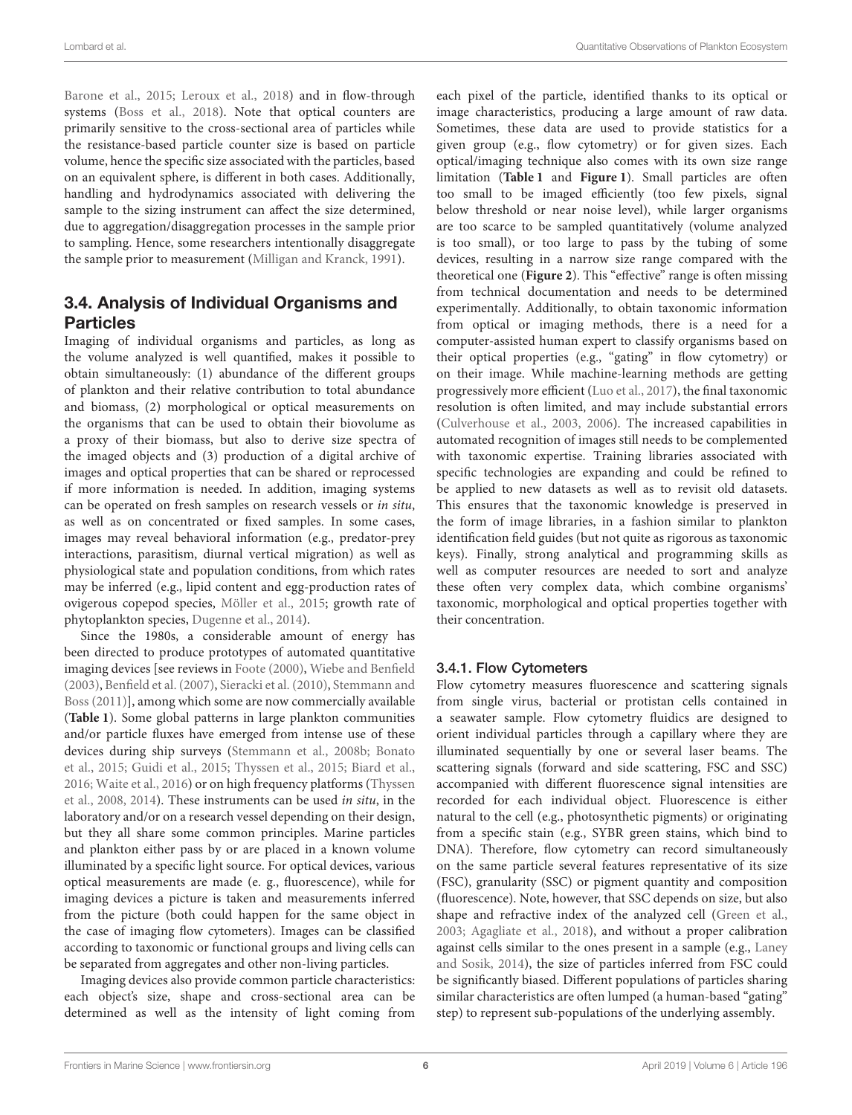[Barone et al., 2015;](#page-15-13) [Leroux et al., 2018\)](#page-18-19) and in flow-through systems [\(Boss et al., 2018\)](#page-16-18). Note that optical counters are primarily sensitive to the cross-sectional area of particles while the resistance-based particle counter size is based on particle volume, hence the specific size associated with the particles, based on an equivalent sphere, is different in both cases. Additionally, handling and hydrodynamics associated with delivering the sample to the sizing instrument can affect the size determined, due to aggregation/disaggregation processes in the sample prior to sampling. Hence, some researchers intentionally disaggregate the sample prior to measurement [\(Milligan and Kranck, 1991\)](#page-18-20).

## 3.4. Analysis of Individual Organisms and Particles

Imaging of individual organisms and particles, as long as the volume analyzed is well quantified, makes it possible to obtain simultaneously: (1) abundance of the different groups of plankton and their relative contribution to total abundance and biomass, (2) morphological or optical measurements on the organisms that can be used to obtain their biovolume as a proxy of their biomass, but also to derive size spectra of the imaged objects and (3) production of a digital archive of images and optical properties that can be shared or reprocessed if more information is needed. In addition, imaging systems can be operated on fresh samples on research vessels or in situ, as well as on concentrated or fixed samples. In some cases, images may reveal behavioral information (e.g., predator-prey interactions, parasitism, diurnal vertical migration) as well as physiological state and population conditions, from which rates may be inferred (e.g., lipid content and egg-production rates of ovigerous copepod species, [Möller et al., 2015;](#page-18-21) growth rate of phytoplankton species, [Dugenne et al., 2014\)](#page-17-19).

Since the 1980s, a considerable amount of energy has been directed to produce prototypes of automated quantitative imaging devices [see reviews in [Foote \(2000\)](#page-17-20), [Wiebe and Benfield](#page-20-3) [\(2003\)](#page-20-3), [Benfield et al. \(2007\)](#page-15-14), [Sieracki et al. \(2010\)](#page-19-12), Stemmann and Boss [\(2011\)](#page-19-13)], among which some are now commercially available (**[Table 1](#page-6-0)**). Some global patterns in large plankton communities and/or particle fluxes have emerged from intense use of these devices during ship surveys [\(Stemmann et al., 2008b;](#page-19-14) Bonato et al., [2015;](#page-16-19) [Guidi et al., 2015;](#page-17-21) [Thyssen et al., 2015;](#page-19-15) [Biard et al.,](#page-16-20) [2016;](#page-16-20) [Waite et al., 2016\)](#page-20-4) or on high frequency platforms (Thyssen et al., [2008,](#page-19-16) [2014\)](#page-19-17). These instruments can be used in situ, in the laboratory and/or on a research vessel depending on their design, but they all share some common principles. Marine particles and plankton either pass by or are placed in a known volume illuminated by a specific light source. For optical devices, various optical measurements are made (e. g., fluorescence), while for imaging devices a picture is taken and measurements inferred from the picture (both could happen for the same object in the case of imaging flow cytometers). Images can be classified according to taxonomic or functional groups and living cells can be separated from aggregates and other non-living particles.

Imaging devices also provide common particle characteristics: each object's size, shape and cross-sectional area can be determined as well as the intensity of light coming from each pixel of the particle, identified thanks to its optical or image characteristics, producing a large amount of raw data. Sometimes, these data are used to provide statistics for a given group (e.g., flow cytometry) or for given sizes. Each optical/imaging technique also comes with its own size range limitation (**[Table 1](#page-6-0)** and **[Figure 1](#page-8-0)**). Small particles are often too small to be imaged efficiently (too few pixels, signal below threshold or near noise level), while larger organisms are too scarce to be sampled quantitatively (volume analyzed is too small), or too large to pass by the tubing of some devices, resulting in a narrow size range compared with the theoretical one (**[Figure 2](#page-9-0)**). This "effective" range is often missing from technical documentation and needs to be determined experimentally. Additionally, to obtain taxonomic information from optical or imaging methods, there is a need for a computer-assisted human expert to classify organisms based on their optical properties (e.g., "gating" in flow cytometry) or on their image. While machine-learning methods are getting progressively more efficient [\(Luo et al., 2017\)](#page-18-22), the final taxonomic resolution is often limited, and may include substantial errors [\(Culverhouse et al., 2003,](#page-16-21) [2006\)](#page-16-22). The increased capabilities in automated recognition of images still needs to be complemented with taxonomic expertise. Training libraries associated with specific technologies are expanding and could be refined to be applied to new datasets as well as to revisit old datasets. This ensures that the taxonomic knowledge is preserved in the form of image libraries, in a fashion similar to plankton identification field guides (but not quite as rigorous as taxonomic keys). Finally, strong analytical and programming skills as well as computer resources are needed to sort and analyze these often very complex data, which combine organisms' taxonomic, morphological and optical properties together with their concentration.

#### 3.4.1. Flow Cytometers

Flow cytometry measures fluorescence and scattering signals from single virus, bacterial or protistan cells contained in a seawater sample. Flow cytometry fluidics are designed to orient individual particles through a capillary where they are illuminated sequentially by one or several laser beams. The scattering signals (forward and side scattering, FSC and SSC) accompanied with different fluorescence signal intensities are recorded for each individual object. Fluorescence is either natural to the cell (e.g., photosynthetic pigments) or originating from a specific stain (e.g., SYBR green stains, which bind to DNA). Therefore, flow cytometry can record simultaneously on the same particle several features representative of its size (FSC), granularity (SSC) or pigment quantity and composition (fluorescence). Note, however, that SSC depends on size, but also shape and refractive index of the analyzed cell [\(Green et al.,](#page-17-22) [2003;](#page-17-22) [Agagliate et al., 2018\)](#page-15-15), and without a proper calibration against cells similar to the ones present in a sample (e.g., Laney and Sosik, [2014\)](#page-18-23), the size of particles inferred from FSC could be significantly biased. Different populations of particles sharing similar characteristics are often lumped (a human-based "gating" step) to represent sub-populations of the underlying assembly.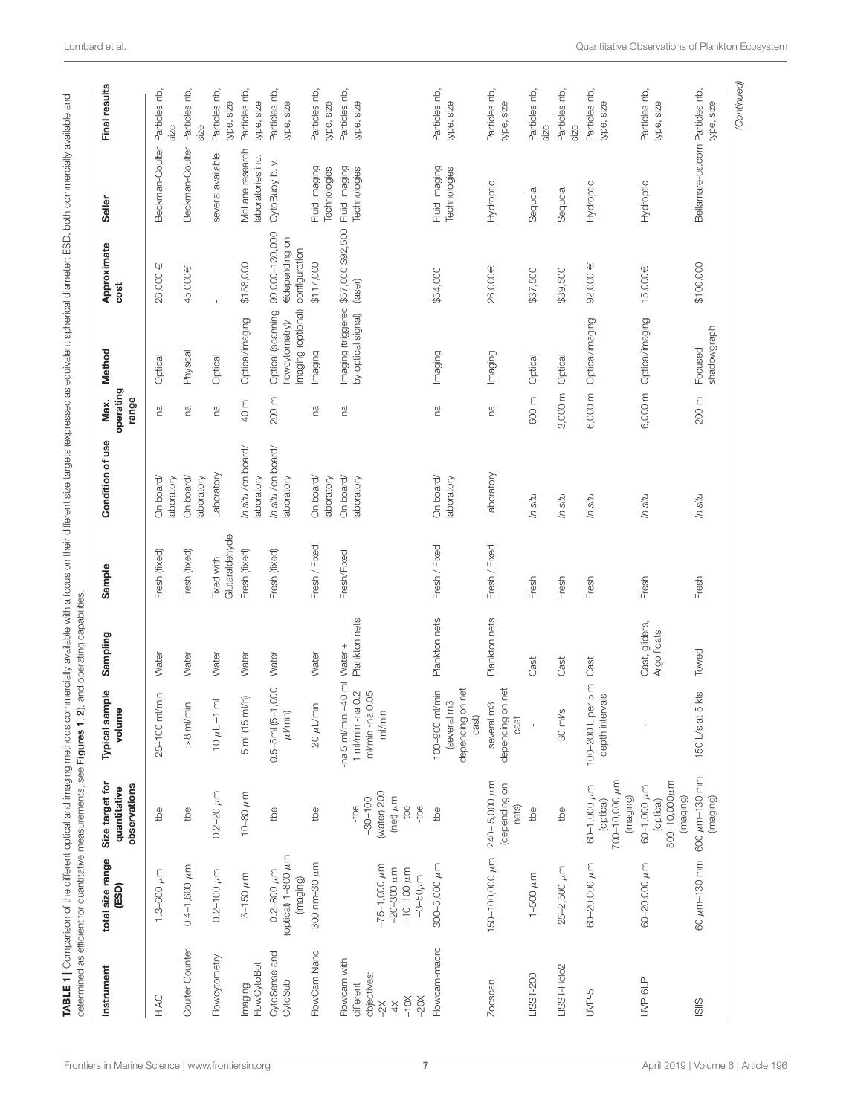<span id="page-6-0"></span>

| (optical) 1-800 µm<br>300 nm-30 µm<br>$0.4 - 1,600 \mu m$<br>$1.3 - 600 \mu m$<br>$0.2 - 100 \mu m$<br>$0.2 - 800 \mu m$<br>$5-150 \mu m$<br>(imaging)<br>Coulter Counter<br>FlowCam Nano<br>CytoSense and<br>Flowcytometry<br>FlowCytoBot<br>CytoSub<br>Imaging<br>HIAC | observations<br>quantitative                                        | Typical sample<br>volume                                               | Sampling                      | Sample                       | Condition of use                 | operating<br>range<br>Max. | Method                                                    | Approximate<br>cost                              | Seller                               | Final results               |
|--------------------------------------------------------------------------------------------------------------------------------------------------------------------------------------------------------------------------------------------------------------------------|---------------------------------------------------------------------|------------------------------------------------------------------------|-------------------------------|------------------------------|----------------------------------|----------------------------|-----------------------------------------------------------|--------------------------------------------------|--------------------------------------|-----------------------------|
|                                                                                                                                                                                                                                                                          | tbe                                                                 | ml/min<br>$25 - 100$                                                   | Water                         | Fresh (fixed)                | On board/                        | ma                         | Optical                                                   | 26,000 €                                         | Beckman-Coulter                      | Particles nb,               |
|                                                                                                                                                                                                                                                                          |                                                                     |                                                                        |                               |                              | aboratory                        |                            |                                                           |                                                  |                                      | size                        |
|                                                                                                                                                                                                                                                                          | tbe                                                                 | $>8$ m/min                                                             | Water                         | Fresh (fixed)                | On board/<br>laboratory          | ΓØ                         | Physical                                                  | 45,000€                                          | Beckman-Coulter                      | Particles nb,<br>size       |
|                                                                                                                                                                                                                                                                          | $0.2 - 20 \mu m$                                                    | $10 \mu L - 1 \text{ m}$                                               | Water                         | Glutaraldehyde<br>Fixed with | Laboratory                       | m                          | Optical                                                   | $\mathbf{I}$                                     | several available                    | Particles nb<br>type, size  |
|                                                                                                                                                                                                                                                                          | 10-80 $\mu$ m                                                       | m/h<br>5 ml (15                                                        | Water                         | Fresh (fixed)                | In situ /on board/<br>laboratory | 40 m                       | Optical/imaging                                           | \$158,000                                        | McLane research<br>laboratories inc. | Particles nb<br>type, size  |
|                                                                                                                                                                                                                                                                          | tbe                                                                 | $0.5 - 5$ ml $(5 - 1,000$<br>$\mu$ l/min)                              | Water                         | Fresh (fixed)                | In situ /on board/<br>laboratory | 200 m                      | imaging (optional)<br>Optical (scanning<br>flowcytometry) | 90,000-130,000<br>€depending on<br>configuration | CytoBuoy b.v.                        | Particles nb,<br>type, size |
|                                                                                                                                                                                                                                                                          | tbe                                                                 | $20 \mu L/m$ in                                                        | Water                         | Fresh / Fixed                | On board/<br>laboratory          | ma                         | Imaging                                                   | \$117,000                                        | Fluid Imaging<br>Technologies        | Particles nb,<br>type, size |
| $-75-1,000 \mu m$<br>$-20 - 300 \mu m$<br>$-10-100 \mu m$<br>$-3 - 50 \mu m$<br>Flowcam with<br>objectives:<br>different<br>$-10X$<br>$-20X$<br>$\approx$<br>4X                                                                                                          | (water) 200<br>(net) $\mu$ m<br>$-30 - 100$<br>-tbe<br>-tbe<br>-tbe | -na 5 ml/min $-40$ ml<br>1 ml/min -na 0.2<br>ml/min -na 0.05<br>ml/min | Plankton nets<br>Water +      | Fresh/Fixed                  | On board/<br>laboratory          | m                          | by optical signal)                                        | Imaging (triggered \$57,000 \$92,500<br>(laser)  | Fluid Imaging<br>Technologies        | Particles nb<br>type, size  |
| $300 - 5,000 \mu m$<br>Flowcam-macro                                                                                                                                                                                                                                     | tbe                                                                 | depending on net<br>ml/min<br>(several m3<br>cast)<br>100-900          | Plankton nets                 | Fresh / Fixed                | On board/<br>laboratory          | ma                         | Imaging                                                   | \$54,000                                         | Fluid Imaging<br>Technologies        | Particles nb,<br>type, size |
| 150-100,000 pm<br>Zooscan                                                                                                                                                                                                                                                | $240 - 5,000 \mu m$<br>(depending on<br>nets)                       | depending on net<br>several m3                                         | Plankton nets                 | Fresh / Fixed                | Laboratory                       | ma                         | Imaging                                                   | 26,000€                                          | Hydroptic                            | Particles nb,<br>type, size |
| $1-500 \mu m$<br>LISST-200                                                                                                                                                                                                                                               | tbe                                                                 | $\mathsf{I}$                                                           | Cast                          | Fresh                        | In situ                          | 600 m                      | Optical                                                   | \$37,500                                         | Sequoia                              | Particles nb,<br>size       |
| $25 - 2,500 \mu m$<br>LISST-Holo2                                                                                                                                                                                                                                        | tbe                                                                 | $30$ m $\text{Vs}$                                                     | Cast                          | Fresh                        | In situ                          | 3,000 m                    | Optical                                                   | \$39,500                                         | Sequoia                              | Particles nb,<br>size       |
| 60-20,000 µm<br>UVP-5                                                                                                                                                                                                                                                    | 700-10,000 µm<br>$60 - 1,000 \mu m$<br>(imaging)<br>(optical)       | per 5 m<br>depth intervals<br>100-200L                                 | Cast                          | Fresh                        | In situ                          | 6,000 m                    | Optical/imaging                                           | 92,000 €                                         | Hydroptic                            | Particles nb,<br>type, size |
| 60-20,000 µm<br>UVP-6LP                                                                                                                                                                                                                                                  | 500-10,000µm<br>60-1,000 µm<br>(imaging)<br>(optical)               |                                                                        | Cast, gliders,<br>Argo floats | Fresh                        | In situ                          | 6,000 m                    | Optical/imaging                                           | 15,000€                                          | Hydroptic                            | Particles nb,<br>type, size |
| SIIS                                                                                                                                                                                                                                                                     | 60 $\mu$ m-130 mm 600 $\mu$ m-130 mm<br>(imaging)                   | 5 kts<br>$150$ $\cup$ s at                                             | Towed                         | Fresh                        | In situ                          | 200 m                      | shadowgraph<br>Focused                                    | \$100,000                                        | Bellamare-us.com Particles nb,       | type, size                  |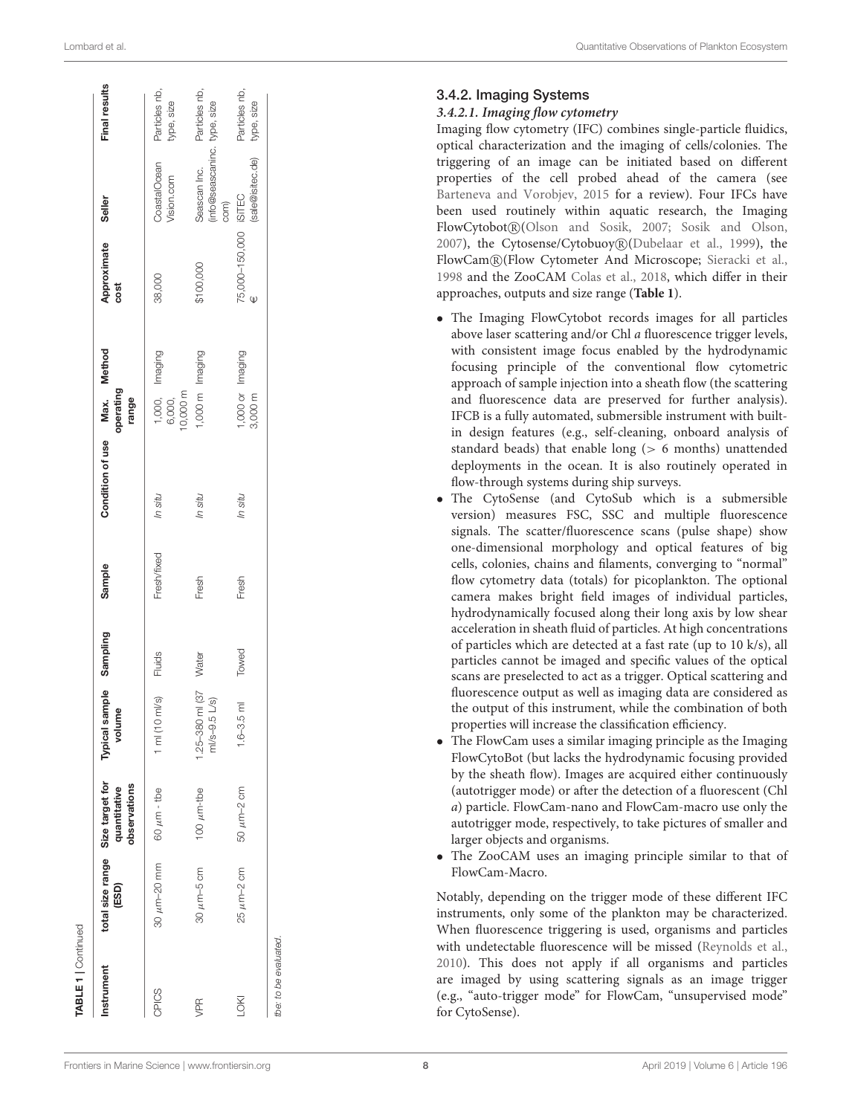| Lombard et al. |  |  |  |
|----------------|--|--|--|
|----------------|--|--|--|

| Quantitative Observations of Plankton Ecosystem |
|-------------------------------------------------|
|                                                 |

| <b>TABLE 1</b>   Continued |                            |                                                 |                                      |          |             |                                           |                                                         |                     |                                                     |                             |
|----------------------------|----------------------------|-------------------------------------------------|--------------------------------------|----------|-------------|-------------------------------------------|---------------------------------------------------------|---------------------|-----------------------------------------------------|-----------------------------|
| Instrument                 | total size range<br>(ESD)  | Size target for<br>observations<br>quantitative | Typical sample<br>volume             | Sampling | Sample      | Condition of use Max. Method<br>operating | range                                                   | Approximate<br>cost | Seller                                              | Final results               |
| CPICS                      | $30 \mu m - 20 \text{ mm}$ | $60 \mu m$ - the                                | 1 ml (10 ml/s)                       | Fluids   | Fresh/fixed | In situ                                   | 1,000, Imaging<br>6,000,<br>10,000 m<br>1,000 m Imaging | 38,000              | CoastalOcean<br>Vision.com                          | Particles nb,<br>type, size |
| yPR                        | $30 \mu m - 5 \text{ cm}$  | $100 \mu m$ -tbe                                | $1.25 - 380$ ml (37<br>ml/s-9.5 L/s) | Water    | Fresh       | In situ                                   |                                                         | \$100,000           | info@seascaninc. type, size<br>Seascan Inc.<br>com) | Particles nb,               |
| LOKI                       | $25 \mu m - 2 \text{ cm}$  | $50 \mu m - 2 \text{ cm}$                       | $1.6 - 3.5$ m                        | Towed    | Fresh       | In situ                                   | 1,000 or Imaging<br>3,000 m                             | 75,000-150,000      | (sale@isitec.de)<br><b>ISITEC</b>                   | Particles nb,<br>type, size |
| the: to be evaluated.      |                            |                                                 |                                      |          |             |                                           |                                                         |                     |                                                     |                             |

#### 3.4.2. Imaging Systems

#### **3.4.2.1. Imaging flow cytometry**

Imaging flow cytometry (IFC) combines single-particle fluidics, optical characterization and the imaging of cells/colonies. Th e triggering of an image can be initiated based on different properties of the cell probed ahead of the camera (see [Barteneva and Vorobjev, 2015](#page-15-16) for a review). Four IFCs have been used routinely within aquatic research, the Imaging FlowCytobot R [\(Olson and Sosik, 2007;](#page-18-24) [Sosik and Olson,](#page-19-18) [2007\)](#page-19-18), the Cytosense/Cytobuoy R [\(Dubelaar et al., 1999\)](#page-17-23), the FlowCam® (Flow Cytometer And Microscope; [Sieracki et al.,](#page-19-19) [1998](#page-19-19) and the ZooCAM [Colas et al., 2018,](#page-16-23) which differ in their approaches, outputs and size range (**[Table 1](#page-6-0)**).

- The Imaging FlowCytobot records images for all particles above laser scattering and/or Chl a fluorescence trigger levels, with consistent image focus enabled by the hydrodynamic focusing principle of the conventional flow cytometric approach of sample injection into a sheath flow (the scattering and fluorescence data are preserved for further analysis). IFCB is a fully automated, submersible instrument with built in design features (e.g., self-cleaning, onboard analysis of standard beads) that enable long ( > 6 months) unattended deployments in the ocean. It is also routinely operated in flow-through systems during ship surveys.
- The CytoSense (and CytoSub which is a submersible version) measures FSC, SSC and multiple fluorescence signals. The scatter/fluorescence scans (pulse shape) show one-dimensional morphology and optical features of big cells, colonies, chains and filaments, converging to "normal" flow cytometry data (totals) for picoplankton. The optional camera makes bright field images of individual particles, hydrodynamically focused along their long axis by low shear acceleration in sheath fluid of particles. At high concentrations of particles which are detected at a fast rate (up to 10 k/s), al l particles cannot be imaged and specific values of the optical scans are preselected to act as a trigger. Optical scattering and fluorescence output as well as imaging data are considered as the output of this instrument, while the combination of both properties will increase the classification efficiency.
- The FlowCam uses a similar imaging principle as the Imaging FlowCytoBot (but lacks the hydrodynamic focusing provided by the sheath flow). Images are acquired either continuously (autotrigger mode) or after the detection of a fluorescent (Chl a) particle. FlowCam-nano and FlowCam-macro use only the autotrigger mode, respectively, to take pictures of smaller and larger objects and organisms.
- The ZooCAM uses an imaging principle similar to that of FlowCam-Macro.

Notably, depending on the trigger mode of these different IFC instruments, only some of the plankton may be characterized. When fluorescence triggering is used, organisms and particles with undetectable fluorescence will be missed [\(Reynolds et al.,](#page-19-11) [2010\)](#page-19-11). This does not apply if all organisms and particles are imaged by using scattering signals as an image trigger (e.g., "auto-trigger mode" for FlowCam, "unsupervised mode" for CytoSense).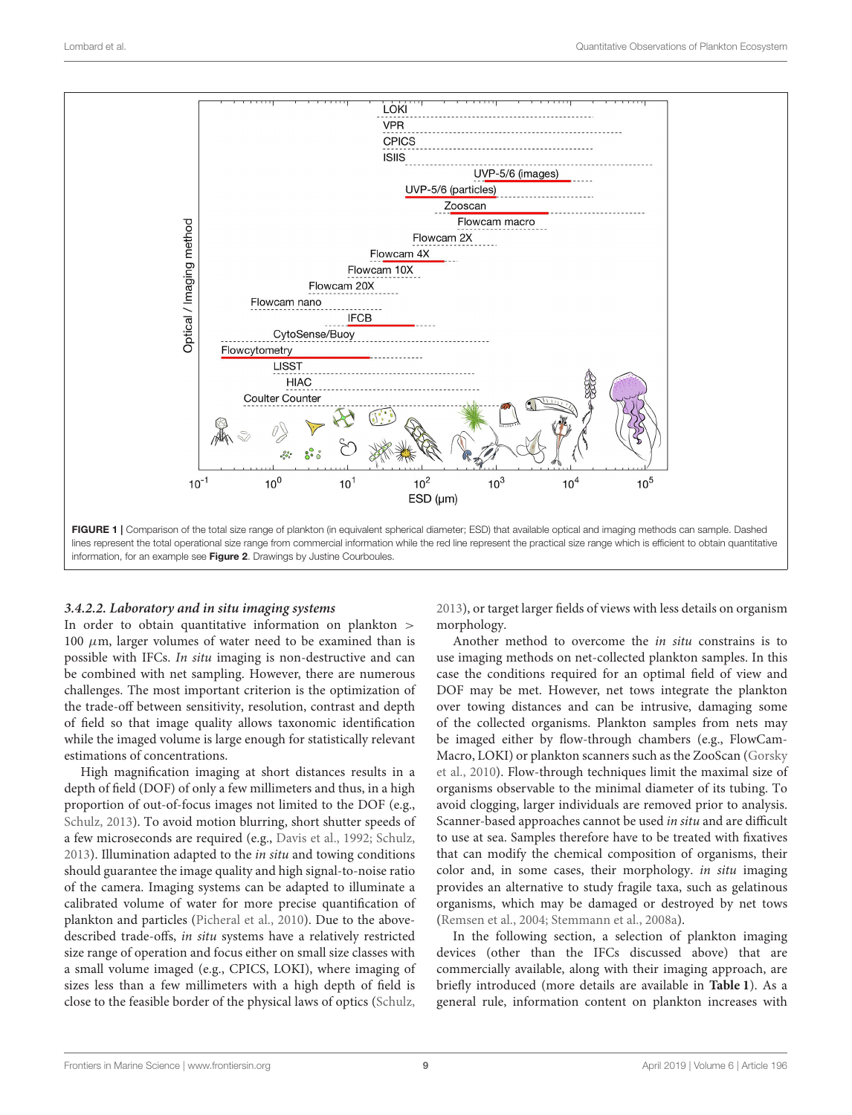

#### <span id="page-8-0"></span>**3.4.2.2. Laboratory and in situ imaging systems**

In order to obtain quantitative information on plankton > 100  $\mu$ m, larger volumes of water need to be examined than is possible with IFCs. In situ imaging is non-destructive and can be combined with net sampling. However, there are numerous challenges. The most important criterion is the optimization of the trade-off between sensitivity, resolution, contrast and depth of field so that image quality allows taxonomic identification while the imaged volume is large enough for statistically relevant estimations of concentrations.

High magnification imaging at short distances results in a depth of field (DOF) of only a few millimeters and thus, in a high proportion of out-of-focus images not limited to the DOF (e.g., [Schulz, 2013\)](#page-19-20). To avoid motion blurring, short shutter speeds of a few microseconds are required (e.g., [Davis et al., 1992;](#page-16-24) [Schulz,](#page-19-20) [2013\)](#page-19-20). Illumination adapted to the in situ and towing conditions should guarantee the image quality and high signal-to-noise ratio of the camera. Imaging systems can be adapted to illuminate a calibrated volume of water for more precise quantification of plankton and particles [\(Picheral et al., 2010\)](#page-18-25). Due to the abovedescribed trade-offs, in situ systems have a relatively restricted size range of operation and focus either on small size classes with a small volume imaged (e.g., CPICS, LOKI), where imaging of sizes less than a few millimeters with a high depth of field is close to the feasible border of the physical laws of optics [\(Schulz,](#page-19-20) [2013\)](#page-19-20), or target larger fields of views with less details on organism morphology.

Another method to overcome the in situ constrains is to use imaging methods on net-collected plankton samples. In this case the conditions required for an optimal field of view and DOF may be met. However, net tows integrate the plankton over towing distances and can be intrusive, damaging some of the collected organisms. Plankton samples from nets may be imaged either by flow-through chambers (e.g., FlowCam-Macro, LOKI) or plankton scanners such as the ZooScan (Gorsky et al., [2010\)](#page-17-24). Flow-through techniques limit the maximal size of organisms observable to the minimal diameter of its tubing. To avoid clogging, larger individuals are removed prior to analysis. Scanner-based approaches cannot be used in situ and are difficult to use at sea. Samples therefore have to be treated with fixatives that can modify the chemical composition of organisms, their color and, in some cases, their morphology. in situ imaging provides an alternative to study fragile taxa, such as gelatinous organisms, which may be damaged or destroyed by net tows [\(Remsen et al., 2004;](#page-19-21) [Stemmann et al., 2008a\)](#page-19-22).

In the following section, a selection of plankton imaging devices (other than the IFCs discussed above) that are commercially available, along with their imaging approach, are briefly introduced (more details are available in **[Table 1](#page-6-0)**). As a general rule, information content on plankton increases with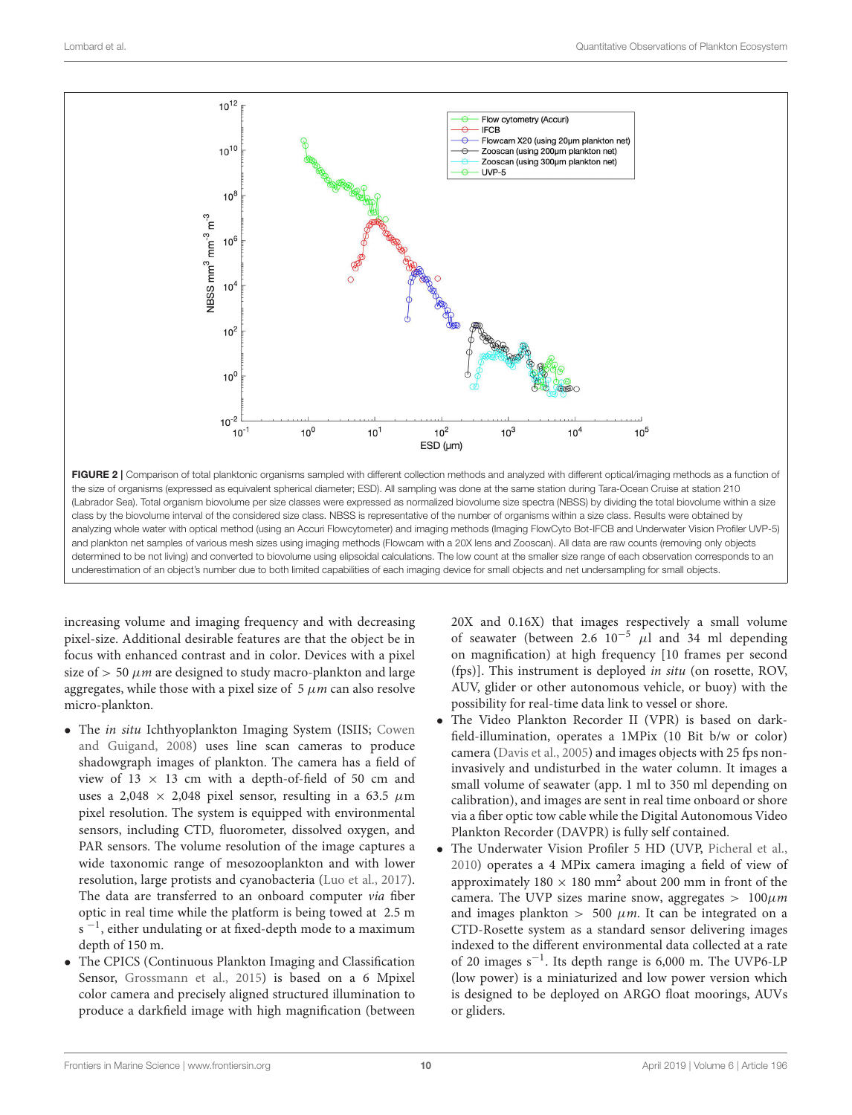

<span id="page-9-0"></span>the size of organisms (expressed as equivalent spherical diameter; ESD). All sampling was done at the same station during Tara-Ocean Cruise at station 210 (Labrador Sea). Total organism biovolume per size classes were expressed as normalized biovolume size spectra (NBSS) by dividing the total biovolume within a size class by the biovolume interval of the considered size class. NBSS is representative of the number of organisms within a size class. Results were obtained by analyzing whole water with optical method (using an Accuri Flowcytometer) and imaging methods (Imaging FlowCyto Bot-IFCB and Underwater Vision Profiler UVP-5) and plankton net samples of various mesh sizes using imaging methods (Flowcam with a 20X lens and Zooscan). All data are raw counts (removing only objects determined to be not living) and converted to biovolume using elipsoidal calculations. The low count at the smaller size range of each observation corresponds to an underestimation of an object's number due to both limited capabilities of each imaging device for small objects and net undersampling for small objects.

increasing volume and imaging frequency and with decreasing pixel-size. Additional desirable features are that the object be in focus with enhanced contrast and in color. Devices with a pixel size of  $> 50 \mu m$  are designed to study macro-plankton and large aggregates, while those with a pixel size of  $5 \mu m$  can also resolve micro-plankton.

- The in situ Ichthyoplankton Imaging System (ISIIS; Cowen and Guigand, [2008\)](#page-16-25) uses line scan cameras to produce shadowgraph images of plankton. The camera has a field of view of  $13 \times 13$  cm with a depth-of-field of 50 cm and uses a 2,048  $\times$  2,048 pixel sensor, resulting in a 63.5  $\mu$ m pixel resolution. The system is equipped with environmental sensors, including CTD, fluorometer, dissolved oxygen, and PAR sensors. The volume resolution of the image captures a wide taxonomic range of mesozooplankton and with lower resolution, large protists and cyanobacteria [\(Luo et al., 2017\)](#page-18-22). The data are transferred to an onboard computer via fiber optic in real time while the platform is being towed at 2.5 m  $s<sup>-1</sup>$ , either undulating or at fixed-depth mode to a maximum depth of 150 m.
- The CPICS (Continuous Plankton Imaging and Classification Sensor, [Grossmann et al., 2015\)](#page-17-2) is based on a 6 Mpixel color camera and precisely aligned structured illumination to produce a darkfield image with high magnification (between

20X and 0.16X) that images respectively a small volume of seawater (between 2.6  $10^{-5}$   $\mu$ l and 34 ml depending on magnification) at high frequency [10 frames per second (fps)]. This instrument is deployed in situ (on rosette, ROV, AUV, glider or other autonomous vehicle, or buoy) with the possibility for real-time data link to vessel or shore.

- The Video Plankton Recorder II (VPR) is based on darkfield-illumination, operates a 1MPix (10 Bit b/w or color) camera [\(Davis et al., 2005\)](#page-16-26) and images objects with 25 fps noninvasively and undisturbed in the water column. It images a small volume of seawater (app. 1 ml to 350 ml depending on calibration), and images are sent in real time onboard or shore via a fiber optic tow cable while the Digital Autonomous Video Plankton Recorder (DAVPR) is fully self contained.
- The Underwater Vision Profiler 5 HD (UVP, [Picheral et al.,](#page-18-25) [2010\)](#page-18-25) operates a 4 MPix camera imaging a field of view of approximately  $180 \times 180$  mm<sup>2</sup> about 200 mm in front of the camera. The UVP sizes marine snow, aggregates >  $100 \mu m$ and images plankton  $> 500 \mu m$ . It can be integrated on a CTD-Rosette system as a standard sensor delivering images indexed to the different environmental data collected at a rate of 20 images s−<sup>1</sup> . Its depth range is 6,000 m. The UVP6-LP (low power) is a miniaturized and low power version which is designed to be deployed on ARGO float moorings, AUVs or gliders.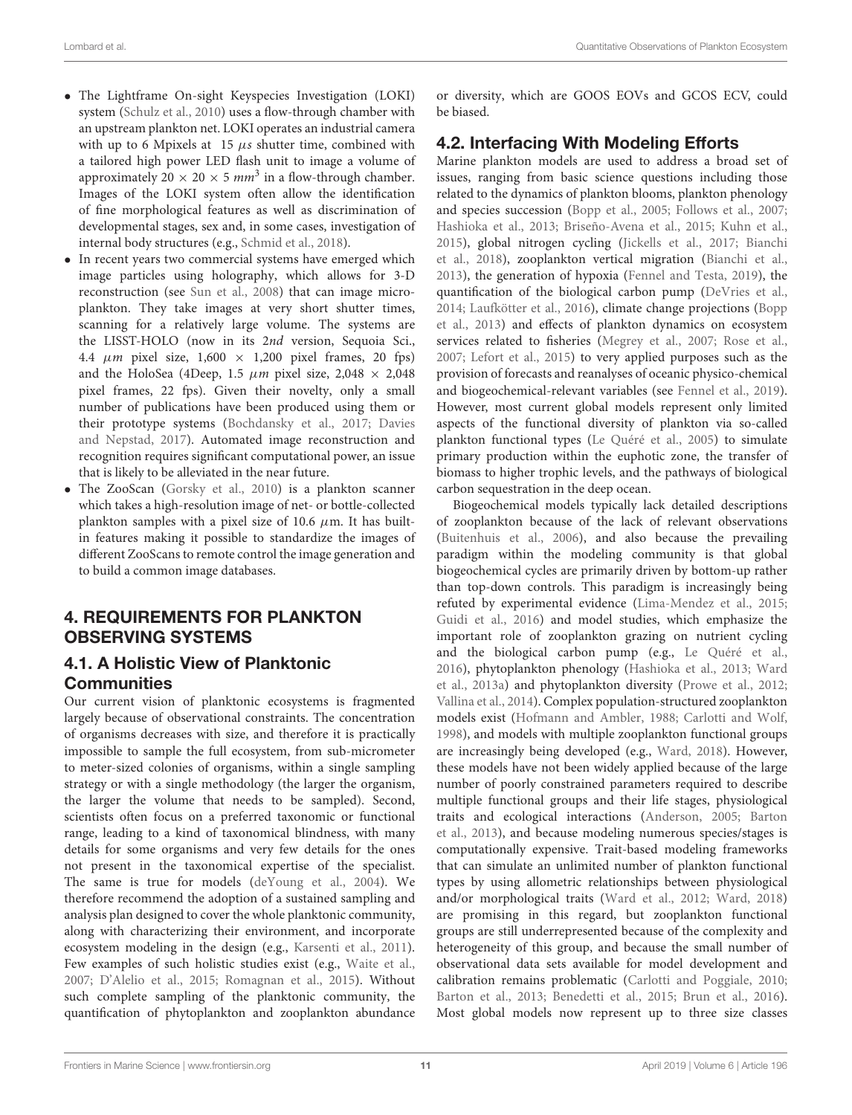- The Lightframe On-sight Keyspecies Investigation (LOKI) system [\(Schulz et al., 2010\)](#page-19-23) uses a flow-through chamber with an upstream plankton net. LOKI operates an industrial camera with up to 6 Mpixels at  $15 \mu s$  shutter time, combined with a tailored high power LED flash unit to image a volume of approximately 20  $\times$  20  $\times$  5 mm<sup>3</sup> in a flow-through chamber. Images of the LOKI system often allow the identification of fine morphological features as well as discrimination of developmental stages, sex and, in some cases, investigation of internal body structures (e.g., [Schmid et al., 2018\)](#page-19-24).
- In recent years two commercial systems have emerged which image particles using holography, which allows for 3-D reconstruction (see [Sun et al., 2008\)](#page-19-25) that can image microplankton. They take images at very short shutter times, scanning for a relatively large volume. The systems are the LISST-HOLO (now in its 2nd version, Sequoia Sci., 4.4  $\mu$ m pixel size, 1,600  $\times$  1,200 pixel frames, 20 fps) and the HoloSea (4Deep, 1.5  $\mu$ m pixel size, 2,048  $\times$  2,048 pixel frames, 22 fps). Given their novelty, only a small number of publications have been produced using them or their prototype systems [\(Bochdansky et al., 2017;](#page-16-27) Davies and Nepstad, [2017\)](#page-16-28). Automated image reconstruction and recognition requires significant computational power, an issue that is likely to be alleviated in the near future.
- The ZooScan [\(Gorsky et al., 2010\)](#page-17-24) is a plankton scanner which takes a high-resolution image of net- or bottle-collected plankton samples with a pixel size of 10.6  $\mu$ m. It has builtin features making it possible to standardize the images of different ZooScans to remote control the image generation and to build a common image databases.

# 4. REQUIREMENTS FOR PLANKTON OBSERVING SYSTEMS

# 4.1. A Holistic View of Planktonic **Communities**

Our current vision of planktonic ecosystems is fragmented largely because of observational constraints. The concentration of organisms decreases with size, and therefore it is practically impossible to sample the full ecosystem, from sub-micrometer to meter-sized colonies of organisms, within a single sampling strategy or with a single methodology (the larger the organism, the larger the volume that needs to be sampled). Second, scientists often focus on a preferred taxonomic or functional range, leading to a kind of taxonomical blindness, with many details for some organisms and very few details for the ones not present in the taxonomical expertise of the specialist. The same is true for models [\(deYoung et al., 2004\)](#page-17-25). We therefore recommend the adoption of a sustained sampling and analysis plan designed to cover the whole planktonic community, along with characterizing their environment, and incorporate ecosystem modeling in the design (e.g., [Karsenti et al., 2011\)](#page-18-26). Few examples of such holistic studies exist (e.g., [Waite et al.,](#page-20-5) [2007;](#page-20-5) [D'Alelio et al., 2015;](#page-16-29) [Romagnan et al., 2015\)](#page-19-26). Without such complete sampling of the planktonic community, the quantification of phytoplankton and zooplankton abundance or diversity, which are GOOS EOVs and GCOS ECV, could be biased.

# 4.2. Interfacing With Modeling Efforts

Marine plankton models are used to address a broad set of issues, ranging from basic science questions including those related to the dynamics of plankton blooms, plankton phenology and species succession [\(Bopp et al., 2005;](#page-16-30) [Follows et al., 2007;](#page-17-26) [Hashioka et al., 2013;](#page-17-27) [Briseño-Avena et al., 2015;](#page-16-31) [Kuhn et al.,](#page-18-27) [2015\)](#page-18-27), global nitrogen cycling [\(Jickells et al., 2017;](#page-17-28) Bianchi et al., [2018\)](#page-16-32), zooplankton vertical migration [\(Bianchi et al.,](#page-15-17) [2013\)](#page-15-17), the generation of hypoxia [\(Fennel and Testa, 2019\)](#page-17-29), the quantification of the biological carbon pump [\(DeVries et al.,](#page-17-30) [2014;](#page-17-30) [Laufkötter et al., 2016\)](#page-18-28), climate change projections (Bopp et al., [2013\)](#page-16-33) and effects of plankton dynamics on ecosystem services related to fisheries [\(Megrey et al., 2007;](#page-18-29) [Rose et al.,](#page-19-27) [2007;](#page-19-27) [Lefort et al., 2015\)](#page-18-30) to very applied purposes such as the provision of forecasts and reanalyses of oceanic physico-chemical and biogeochemical-relevant variables (see [Fennel et al., 2019\)](#page-17-31). However, most current global models represent only limited aspects of the functional diversity of plankton via so-called plankton functional types [\(Le Quéré et al., 2005\)](#page-18-31) to simulate primary production within the euphotic zone, the transfer of biomass to higher trophic levels, and the pathways of biological carbon sequestration in the deep ocean.

Biogeochemical models typically lack detailed descriptions of zooplankton because of the lack of relevant observations [\(Buitenhuis et al., 2006\)](#page-16-34), and also because the prevailing paradigm within the modeling community is that global biogeochemical cycles are primarily driven by bottom-up rather than top-down controls. This paradigm is increasingly being refuted by experimental evidence [\(Lima-Mendez et al., 2015;](#page-18-32) [Guidi et al., 2016\)](#page-17-32) and model studies, which emphasize the important role of zooplankton grazing on nutrient cycling and the biological carbon pump (e.g., [Le Quéré et al.,](#page-18-33) [2016\)](#page-18-33), phytoplankton phenology [\(Hashioka et al., 2013;](#page-17-27) Ward et al., [2013a\)](#page-20-6) and phytoplankton diversity [\(Prowe et al., 2012;](#page-18-34) [Vallina et al., 2014\)](#page-19-28). Complex population-structured zooplankton models exist [\(Hofmann and Ambler, 1988;](#page-17-33) [Carlotti and Wolf,](#page-16-35) [1998\)](#page-16-35), and models with multiple zooplankton functional groups are increasingly being developed (e.g., [Ward, 2018\)](#page-20-7). However, these models have not been widely applied because of the large number of poorly constrained parameters required to describe multiple functional groups and their life stages, physiological traits and ecological interactions [\(Anderson, 2005;](#page-15-18) Barton et al., [2013\)](#page-15-19), and because modeling numerous species/stages is computationally expensive. Trait-based modeling frameworks that can simulate an unlimited number of plankton functional types by using allometric relationships between physiological and/or morphological traits [\(Ward et al., 2012;](#page-20-8) [Ward, 2018\)](#page-20-7) are promising in this regard, but zooplankton functional groups are still underrepresented because of the complexity and heterogeneity of this group, and because the small number of observational data sets available for model development and calibration remains problematic [\(Carlotti and Poggiale, 2010;](#page-16-36) [Barton et al., 2013;](#page-15-19) [Benedetti et al., 2015;](#page-15-20) [Brun et al., 2016\)](#page-16-37). Most global models now represent up to three size classes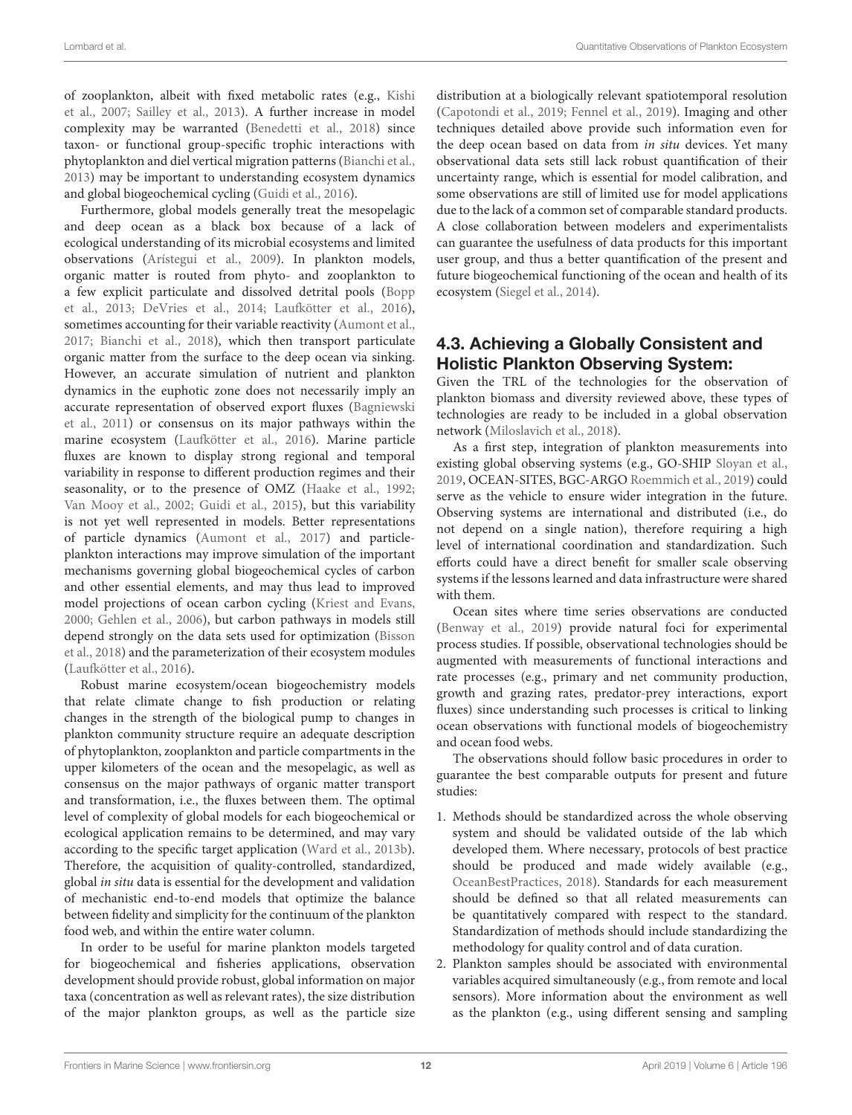of zooplankton, albeit with fixed metabolic rates (e.g., Kishi et al., [2007;](#page-18-35) [Sailley et al., 2013\)](#page-19-29). A further increase in model complexity may be warranted [\(Benedetti et al., 2018\)](#page-15-21) since taxon- or functional group-specific trophic interactions with phytoplankton and diel vertical migration patterns [\(Bianchi et al.,](#page-15-17) [2013\)](#page-15-17) may be important to understanding ecosystem dynamics and global biogeochemical cycling [\(Guidi et al., 2016\)](#page-17-32).

Furthermore, global models generally treat the mesopelagic and deep ocean as a black box because of a lack of ecological understanding of its microbial ecosystems and limited observations [\(Arístegui et al., 2009\)](#page-15-22). In plankton models, organic matter is routed from phyto- and zooplankton to a few explicit particulate and dissolved detrital pools (Bopp et al., [2013;](#page-16-33) [DeVries et al., 2014;](#page-17-30) [Laufkötter et al., 2016\)](#page-18-28), sometimes accounting for their variable reactivity [\(Aumont et al.,](#page-15-23) [2017;](#page-15-23) [Bianchi et al., 2018\)](#page-16-32), which then transport particulate organic matter from the surface to the deep ocean via sinking. However, an accurate simulation of nutrient and plankton dynamics in the euphotic zone does not necessarily imply an accurate representation of observed export fluxes (Bagniewski et al., [2011\)](#page-15-24) or consensus on its major pathways within the marine ecosystem [\(Laufkötter et al., 2016\)](#page-18-28). Marine particle fluxes are known to display strong regional and temporal variability in response to different production regimes and their seasonality, or to the presence of OMZ [\(Haake et al., 1992;](#page-17-34) [Van Mooy et al., 2002;](#page-19-30) [Guidi et al., 2015\)](#page-17-21), but this variability is not yet well represented in models. Better representations of particle dynamics [\(Aumont et al., 2017\)](#page-15-23) and particleplankton interactions may improve simulation of the important mechanisms governing global biogeochemical cycles of carbon and other essential elements, and may thus lead to improved model projections of ocean carbon cycling [\(Kriest and Evans,](#page-18-36) [2000;](#page-18-36) [Gehlen et al., 2006\)](#page-17-35), but carbon pathways in models still depend strongly on the data sets used for optimization (Bisson et al., [2018\)](#page-16-38) and the parameterization of their ecosystem modules [\(Laufkötter et al., 2016\)](#page-18-28).

Robust marine ecosystem/ocean biogeochemistry models that relate climate change to fish production or relating changes in the strength of the biological pump to changes in plankton community structure require an adequate description of phytoplankton, zooplankton and particle compartments in the upper kilometers of the ocean and the mesopelagic, as well as consensus on the major pathways of organic matter transport and transformation, i.e., the fluxes between them. The optimal level of complexity of global models for each biogeochemical or ecological application remains to be determined, and may vary according to the specific target application [\(Ward et al., 2013b\)](#page-20-9). Therefore, the acquisition of quality-controlled, standardized, global in situ data is essential for the development and validation of mechanistic end-to-end models that optimize the balance between fidelity and simplicity for the continuum of the plankton food web, and within the entire water column.

In order to be useful for marine plankton models targeted for biogeochemical and fisheries applications, observation development should provide robust, global information on major taxa (concentration as well as relevant rates), the size distribution of the major plankton groups, as well as the particle size distribution at a biologically relevant spatiotemporal resolution [\(Capotondi et al., 2019;](#page-16-39) [Fennel et al., 2019\)](#page-17-31). Imaging and other techniques detailed above provide such information even for the deep ocean based on data from in situ devices. Yet many observational data sets still lack robust quantification of their uncertainty range, which is essential for model calibration, and some observations are still of limited use for model applications due to the lack of a common set of comparable standard products. A close collaboration between modelers and experimentalists can guarantee the usefulness of data products for this important user group, and thus a better quantification of the present and future biogeochemical functioning of the ocean and health of its ecosystem [\(Siegel et al., 2014\)](#page-19-31).

### 4.3. Achieving a Globally Consistent and Holistic Plankton Observing System:

Given the TRL of the technologies for the observation of plankton biomass and diversity reviewed above, these types of technologies are ready to be included in a global observation network [\(Miloslavich et al., 2018\)](#page-18-1).

As a first step, integration of plankton measurements into existing global observing systems (e.g., GO-SHIP [Sloyan et al.,](#page-19-3) [2019,](#page-19-3) OCEAN-SITES, BGC-ARGO [Roemmich et al., 2019\)](#page-19-1) could serve as the vehicle to ensure wider integration in the future. Observing systems are international and distributed (i.e., do not depend on a single nation), therefore requiring a high level of international coordination and standardization. Such efforts could have a direct benefit for smaller scale observing systems if the lessons learned and data infrastructure were shared with them.

Ocean sites where time series observations are conducted [\(Benway et al., 2019\)](#page-15-25) provide natural foci for experimental process studies. If possible, observational technologies should be augmented with measurements of functional interactions and rate processes (e.g., primary and net community production, growth and grazing rates, predator-prey interactions, export fluxes) since understanding such processes is critical to linking ocean observations with functional models of biogeochemistry and ocean food webs.

The observations should follow basic procedures in order to guarantee the best comparable outputs for present and future studies:

- 1. Methods should be standardized across the whole observing system and should be validated outside of the lab which developed them. Where necessary, protocols of best practice should be produced and made widely available (e.g., [OceanBestPractices, 2018\)](#page-18-37). Standards for each measurement should be defined so that all related measurements can be quantitatively compared with respect to the standard. Standardization of methods should include standardizing the methodology for quality control and of data curation.
- 2. Plankton samples should be associated with environmental variables acquired simultaneously (e.g., from remote and local sensors). More information about the environment as well as the plankton (e.g., using different sensing and sampling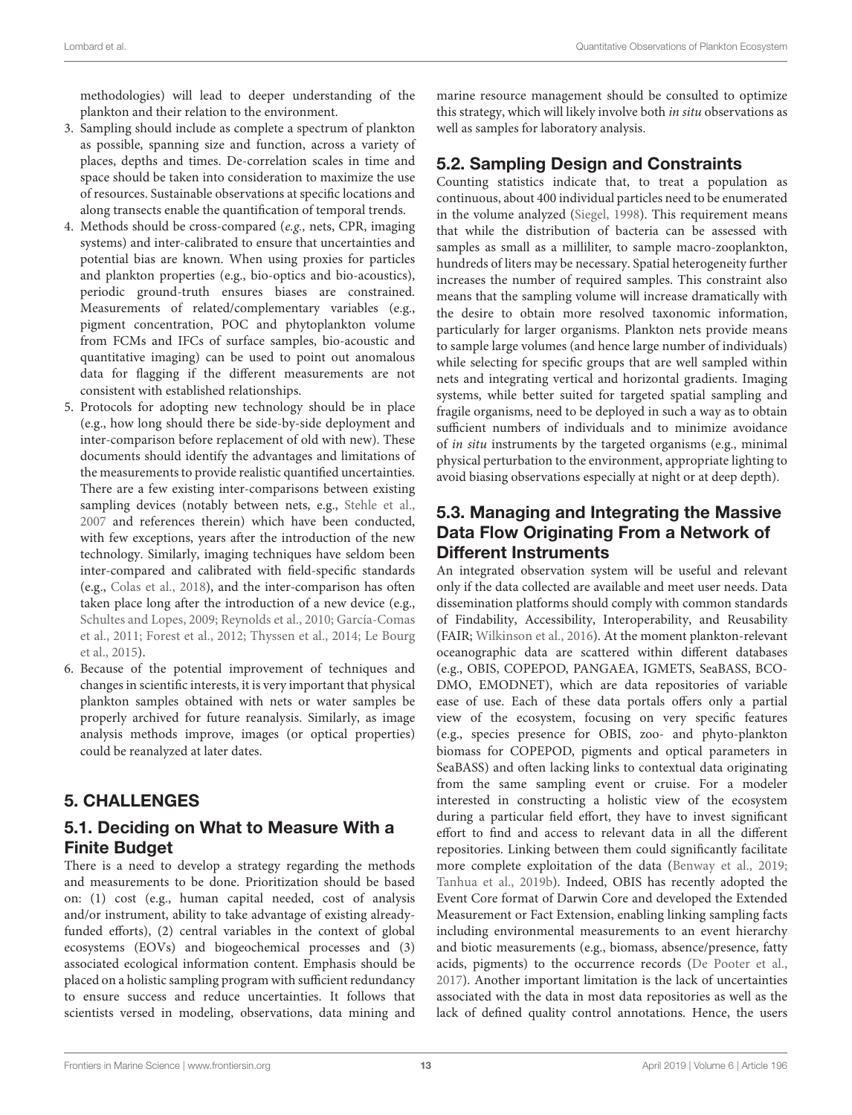methodologies) will lead to deeper understanding of the plankton and their relation to the environment.

- 3. Sampling should include as complete a spectrum of plankton as possible, spanning size and function, across a variety of places, depths and times. De-correlation scales in time and space should be taken into consideration to maximize the use of resources. Sustainable observations at specific locations and along transects enable the quantification of temporal trends.
- 4. Methods should be cross-compared (e.g., nets, CPR, imaging systems) and inter-calibrated to ensure that uncertainties and potential bias are known. When using proxies for particles and plankton properties (e.g., bio-optics and bio-acoustics), periodic ground-truth ensures biases are constrained. Measurements of related/complementary variables (e.g., pigment concentration, POC and phytoplankton volume from FCMs and IFCs of surface samples, bio-acoustic and quantitative imaging) can be used to point out anomalous data for flagging if the different measurements are not consistent with established relationships.
- 5. Protocols for adopting new technology should be in place (e.g., how long should there be side-by-side deployment and inter-comparison before replacement of old with new). These documents should identify the advantages and limitations of the measurements to provide realistic quantified uncertainties. There are a few existing inter-comparisons between existing sampling devices (notably between nets, e.g., [Stehle et al.,](#page-19-32) [2007](#page-19-32) and references therein) which have been conducted, with few exceptions, years after the introduction of the new technology. Similarly, imaging techniques have seldom been inter-compared and calibrated with field-specific standards (e.g., [Colas et al., 2018\)](#page-16-23), and the inter-comparison has often taken place long after the introduction of a new device (e.g., [Schultes and Lopes, 2009;](#page-19-33) [Reynolds et al., 2010;](#page-19-11) García-Comas et al., [2011;](#page-17-36) [Forest et al., 2012;](#page-17-37) [Thyssen et al., 2014;](#page-19-17) Le Bourg et al., [2015\)](#page-18-38).
- 6. Because of the potential improvement of techniques and changes in scientific interests, it is very important that physical plankton samples obtained with nets or water samples be properly archived for future reanalysis. Similarly, as image analysis methods improve, images (or optical properties) could be reanalyzed at later dates.

# 5. CHALLENGES

# 5.1. Deciding on What to Measure With a Finite Budget

There is a need to develop a strategy regarding the methods and measurements to be done. Prioritization should be based on: (1) cost (e.g., human capital needed, cost of analysis and/or instrument, ability to take advantage of existing alreadyfunded efforts), (2) central variables in the context of global ecosystems (EOVs) and biogeochemical processes and (3) associated ecological information content. Emphasis should be placed on a holistic sampling program with sufficient redundancy to ensure success and reduce uncertainties. It follows that scientists versed in modeling, observations, data mining and

marine resource management should be consulted to optimize this strategy, which will likely involve both in situ observations as well as samples for laboratory analysis.

# 5.2. Sampling Design and Constraints

Counting statistics indicate that, to treat a population as continuous, about 400 individual particles need to be enumerated in the volume analyzed [\(Siegel, 1998\)](#page-19-34). This requirement means that while the distribution of bacteria can be assessed with samples as small as a milliliter, to sample macro-zooplankton, hundreds of liters may be necessary. Spatial heterogeneity further increases the number of required samples. This constraint also means that the sampling volume will increase dramatically with the desire to obtain more resolved taxonomic information, particularly for larger organisms. Plankton nets provide means to sample large volumes (and hence large number of individuals) while selecting for specific groups that are well sampled within nets and integrating vertical and horizontal gradients. Imaging systems, while better suited for targeted spatial sampling and fragile organisms, need to be deployed in such a way as to obtain sufficient numbers of individuals and to minimize avoidance of in situ instruments by the targeted organisms (e.g., minimal physical perturbation to the environment, appropriate lighting to avoid biasing observations especially at night or at deep depth).

### 5.3. Managing and Integrating the Massive Data Flow Originating From a Network of Different Instruments

An integrated observation system will be useful and relevant only if the data collected are available and meet user needs. Data dissemination platforms should comply with common standards of Findability, Accessibility, Interoperability, and Reusability (FAIR; [Wilkinson et al., 2016\)](#page-20-10). At the moment plankton-relevant oceanographic data are scattered within different databases (e.g., OBIS, COPEPOD, PANGAEA, IGMETS, SeaBASS, BCO-DMO, EMODNET), which are data repositories of variable ease of use. Each of these data portals offers only a partial view of the ecosystem, focusing on very specific features (e.g., species presence for OBIS, zoo- and phyto-plankton biomass for COPEPOD, pigments and optical parameters in SeaBASS) and often lacking links to contextual data originating from the same sampling event or cruise. For a modeler interested in constructing a holistic view of the ecosystem during a particular field effort, they have to invest significant effort to find and access to relevant data in all the different repositories. Linking between them could significantly facilitate more complete exploitation of the data [\(Benway et al., 2019;](#page-15-25) [Tanhua et al., 2019b\)](#page-19-35). Indeed, OBIS has recently adopted the Event Core format of Darwin Core and developed the Extended Measurement or Fact Extension, enabling linking sampling facts including environmental measurements to an event hierarchy and biotic measurements (e.g., biomass, absence/presence, fatty acids, pigments) to the occurrence records [\(De Pooter et al.,](#page-16-40) [2017\)](#page-16-40). Another important limitation is the lack of uncertainties associated with the data in most data repositories as well as the lack of defined quality control annotations. Hence, the users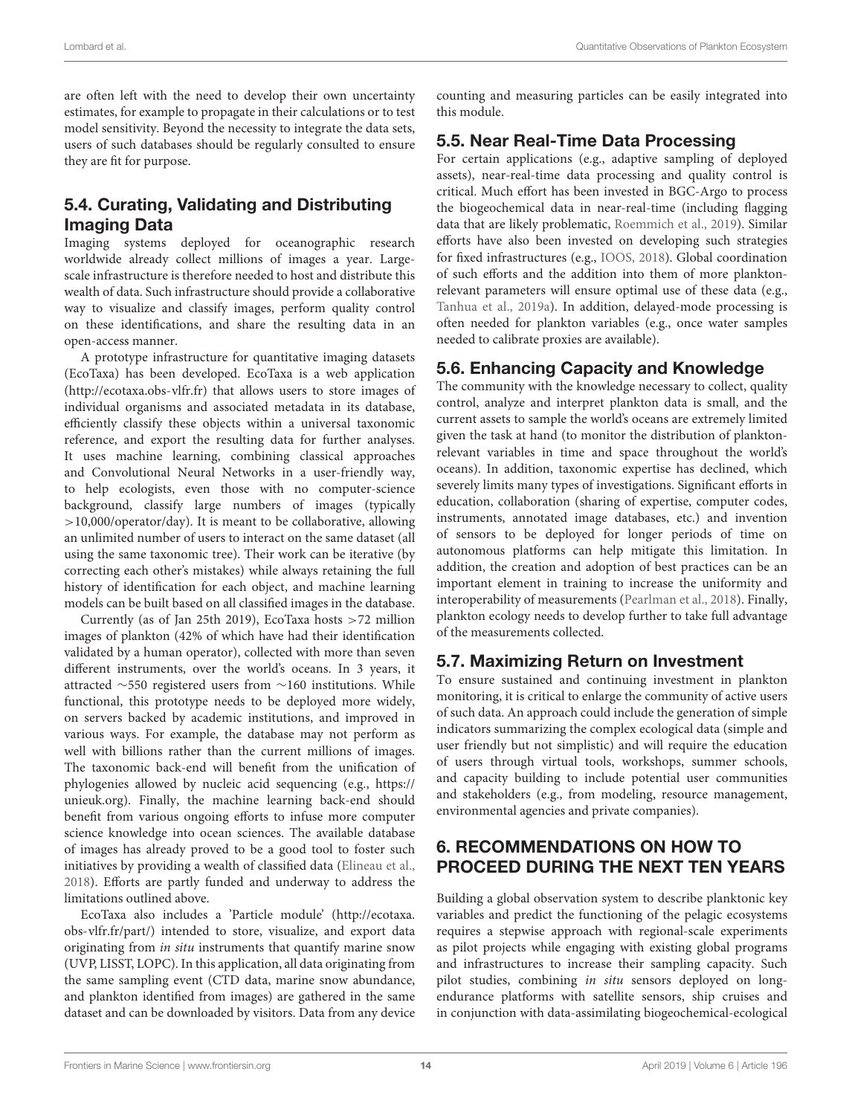are often left with the need to develop their own uncertainty estimates, for example to propagate in their calculations or to test model sensitivity. Beyond the necessity to integrate the data sets, users of such databases should be regularly consulted to ensure they are fit for purpose.

# 5.4. Curating, Validating and Distributing Imaging Data

Imaging systems deployed for oceanographic research worldwide already collect millions of images a year. Largescale infrastructure is therefore needed to host and distribute this wealth of data. Such infrastructure should provide a collaborative way to visualize and classify images, perform quality control on these identifications, and share the resulting data in an open-access manner.

A prototype infrastructure for quantitative imaging datasets (EcoTaxa) has been developed. EcoTaxa is a web application [\(http://ecotaxa.obs-vlfr.fr\)](http://ecotaxa.obs-vlfr.fr) that allows users to store images of individual organisms and associated metadata in its database, efficiently classify these objects within a universal taxonomic reference, and export the resulting data for further analyses. It uses machine learning, combining classical approaches and Convolutional Neural Networks in a user-friendly way, to help ecologists, even those with no computer-science background, classify large numbers of images (typically >10,000/operator/day). It is meant to be collaborative, allowing an unlimited number of users to interact on the same dataset (all using the same taxonomic tree). Their work can be iterative (by correcting each other's mistakes) while always retaining the full history of identification for each object, and machine learning models can be built based on all classified images in the database.

Currently (as of Jan 25th 2019), EcoTaxa hosts >72 million images of plankton (42% of which have had their identification validated by a human operator), collected with more than seven different instruments, over the world's oceans. In 3 years, it attracted ∼550 registered users from ∼160 institutions. While functional, this prototype needs to be deployed more widely, on servers backed by academic institutions, and improved in various ways. For example, the database may not perform as well with billions rather than the current millions of images. The taxonomic back-end will benefit from the unification of phylogenies allowed by nucleic acid sequencing (e.g., [https://](https://unieuk.org) [unieuk.org\)](https://unieuk.org). Finally, the machine learning back-end should benefit from various ongoing efforts to infuse more computer science knowledge into ocean sciences. The available database of images has already proved to be a good tool to foster such initiatives by providing a wealth of classified data [\(Elineau et al.,](#page-17-38) [2018\)](#page-17-38). Efforts are partly funded and underway to address the limitations outlined above.

EcoTaxa also includes a 'Particle module' [\(http://ecotaxa.](http://ecotaxa.obs-vlfr.fr/part/) [obs-vlfr.fr/part/\)](http://ecotaxa.obs-vlfr.fr/part/) intended to store, visualize, and export data originating from in situ instruments that quantify marine snow (UVP, LISST, LOPC). In this application, all data originating from the same sampling event (CTD data, marine snow abundance, and plankton identified from images) are gathered in the same dataset and can be downloaded by visitors. Data from any device counting and measuring particles can be easily integrated into this module.

### 5.5. Near Real-Time Data Processing

For certain applications (e.g., adaptive sampling of deployed assets), near-real-time data processing and quality control is critical. Much effort has been invested in BGC-Argo to process the biogeochemical data in near-real-time (including flagging data that are likely problematic, [Roemmich et al., 2019\)](#page-19-1). Similar efforts have also been invested on developing such strategies for fixed infrastructures (e.g., [IOOS, 2018\)](#page-17-39). Global coordination of such efforts and the addition into them of more planktonrelevant parameters will ensure optimal use of these data (e.g., [Tanhua et al., 2019a\)](#page-19-36). In addition, delayed-mode processing is often needed for plankton variables (e.g., once water samples needed to calibrate proxies are available).

### 5.6. Enhancing Capacity and Knowledge

The community with the knowledge necessary to collect, quality control, analyze and interpret plankton data is small, and the current assets to sample the world's oceans are extremely limited given the task at hand (to monitor the distribution of planktonrelevant variables in time and space throughout the world's oceans). In addition, taxonomic expertise has declined, which severely limits many types of investigations. Significant efforts in education, collaboration (sharing of expertise, computer codes, instruments, annotated image databases, etc.) and invention of sensors to be deployed for longer periods of time on autonomous platforms can help mitigate this limitation. In addition, the creation and adoption of best practices can be an important element in training to increase the uniformity and interoperability of measurements [\(Pearlman et al., 2018\)](#page-18-39). Finally, plankton ecology needs to develop further to take full advantage of the measurements collected.

# 5.7. Maximizing Return on Investment

To ensure sustained and continuing investment in plankton monitoring, it is critical to enlarge the community of active users of such data. An approach could include the generation of simple indicators summarizing the complex ecological data (simple and user friendly but not simplistic) and will require the education of users through virtual tools, workshops, summer schools, and capacity building to include potential user communities and stakeholders (e.g., from modeling, resource management, environmental agencies and private companies).

## 6. RECOMMENDATIONS ON HOW TO PROCEED DURING THE NEXT TEN YEARS

Building a global observation system to describe planktonic key variables and predict the functioning of the pelagic ecosystems requires a stepwise approach with regional-scale experiments as pilot projects while engaging with existing global programs and infrastructures to increase their sampling capacity. Such pilot studies, combining in situ sensors deployed on longendurance platforms with satellite sensors, ship cruises and in conjunction with data-assimilating biogeochemical-ecological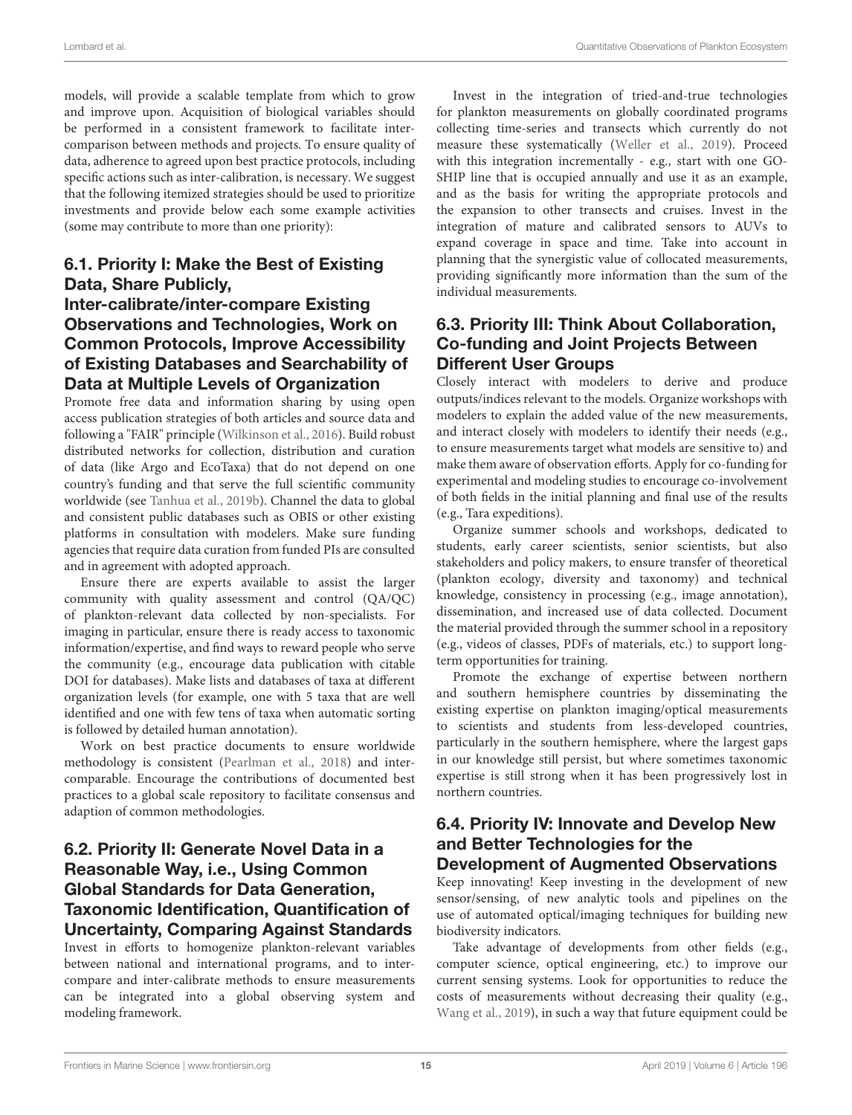models, will provide a scalable template from which to grow and improve upon. Acquisition of biological variables should be performed in a consistent framework to facilitate intercomparison between methods and projects. To ensure quality of data, adherence to agreed upon best practice protocols, including specific actions such as inter-calibration, is necessary. We suggest that the following itemized strategies should be used to prioritize investments and provide below each some example activities (some may contribute to more than one priority):

#### 6.1. Priority I: Make the Best of Existing Data, Share Publicly,

# Inter-calibrate/inter-compare Existing Observations and Technologies, Work on Common Protocols, Improve Accessibility of Existing Databases and Searchability of Data at Multiple Levels of Organization

Promote free data and information sharing by using open access publication strategies of both articles and source data and following a "FAIR" principle [\(Wilkinson et al., 2016\)](#page-20-10). Build robust distributed networks for collection, distribution and curation of data (like Argo and EcoTaxa) that do not depend on one country's funding and that serve the full scientific community worldwide (see [Tanhua et al., 2019b\)](#page-19-35). Channel the data to global and consistent public databases such as OBIS or other existing platforms in consultation with modelers. Make sure funding agencies that require data curation from funded PIs are consulted and in agreement with adopted approach.

Ensure there are experts available to assist the larger community with quality assessment and control (QA/QC) of plankton-relevant data collected by non-specialists. For imaging in particular, ensure there is ready access to taxonomic information/expertise, and find ways to reward people who serve the community (e.g., encourage data publication with citable DOI for databases). Make lists and databases of taxa at different organization levels (for example, one with 5 taxa that are well identified and one with few tens of taxa when automatic sorting is followed by detailed human annotation).

Work on best practice documents to ensure worldwide methodology is consistent [\(Pearlman et al., 2018\)](#page-18-39) and intercomparable. Encourage the contributions of documented best practices to a global scale repository to facilitate consensus and adaption of common methodologies.

# 6.2. Priority II: Generate Novel Data in a Reasonable Way, i.e., Using Common Global Standards for Data Generation, Taxonomic Identification, Quantification of Uncertainty, Comparing Against Standards

Invest in efforts to homogenize plankton-relevant variables between national and international programs, and to intercompare and inter-calibrate methods to ensure measurements can be integrated into a global observing system and modeling framework.

Invest in the integration of tried-and-true technologies for plankton measurements on globally coordinated programs collecting time-series and transects which currently do not measure these systematically [\(Weller et al., 2019\)](#page-20-11). Proceed with this integration incrementally - e.g., start with one GO-SHIP line that is occupied annually and use it as an example, and as the basis for writing the appropriate protocols and the expansion to other transects and cruises. Invest in the integration of mature and calibrated sensors to AUVs to expand coverage in space and time. Take into account in planning that the synergistic value of collocated measurements, providing significantly more information than the sum of the individual measurements.

### 6.3. Priority III: Think About Collaboration, Co-funding and Joint Projects Between Different User Groups

Closely interact with modelers to derive and produce outputs/indices relevant to the models. Organize workshops with modelers to explain the added value of the new measurements, and interact closely with modelers to identify their needs (e.g., to ensure measurements target what models are sensitive to) and make them aware of observation efforts. Apply for co-funding for experimental and modeling studies to encourage co-involvement of both fields in the initial planning and final use of the results (e.g., Tara expeditions).

Organize summer schools and workshops, dedicated to students, early career scientists, senior scientists, but also stakeholders and policy makers, to ensure transfer of theoretical (plankton ecology, diversity and taxonomy) and technical knowledge, consistency in processing (e.g., image annotation), dissemination, and increased use of data collected. Document the material provided through the summer school in a repository (e.g., videos of classes, PDFs of materials, etc.) to support longterm opportunities for training.

Promote the exchange of expertise between northern and southern hemisphere countries by disseminating the existing expertise on plankton imaging/optical measurements to scientists and students from less-developed countries, particularly in the southern hemisphere, where the largest gaps in our knowledge still persist, but where sometimes taxonomic expertise is still strong when it has been progressively lost in northern countries.

#### 6.4. Priority IV: Innovate and Develop New and Better Technologies for the Development of Augmented Observations

Keep innovating! Keep investing in the development of new sensor/sensing, of new analytic tools and pipelines on the use of automated optical/imaging techniques for building new biodiversity indicators.

Take advantage of developments from other fields (e.g., computer science, optical engineering, etc.) to improve our current sensing systems. Look for opportunities to reduce the costs of measurements without decreasing their quality (e.g., [Wang et al., 2019\)](#page-20-12), in such a way that future equipment could be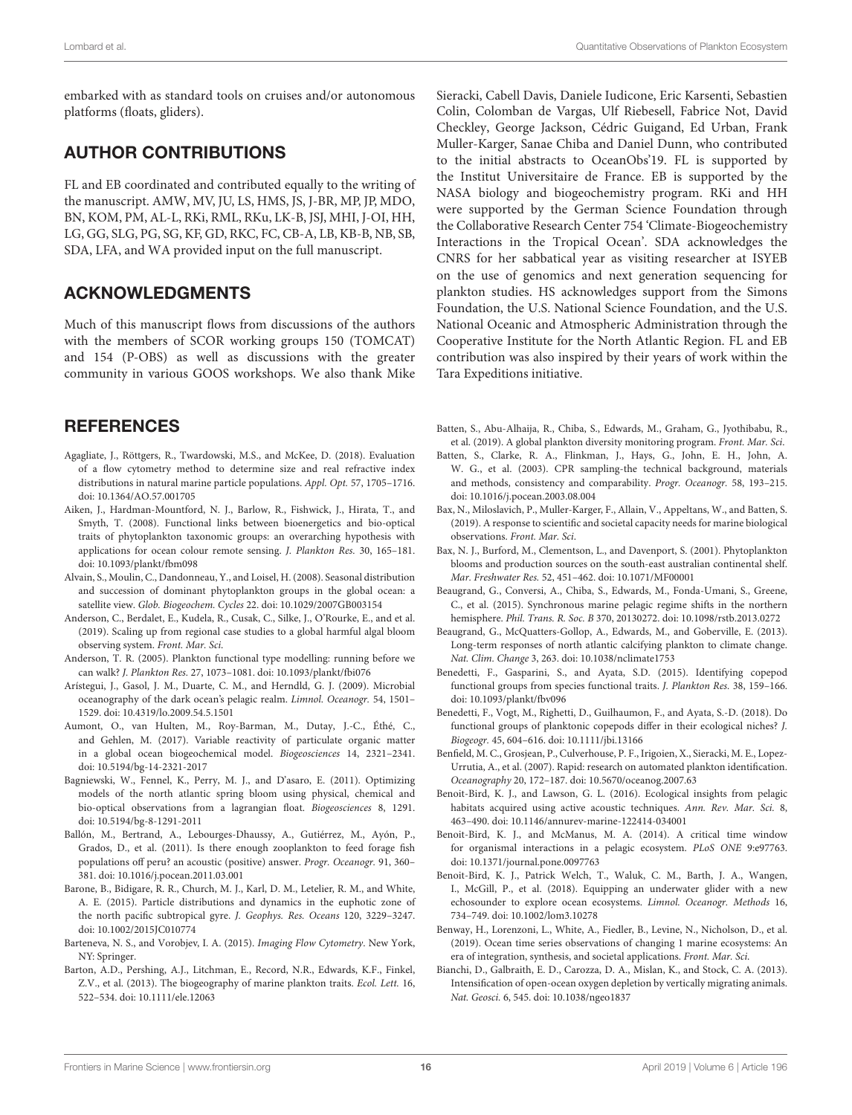embarked with as standard tools on cruises and/or autonomous platforms (floats, gliders).

## AUTHOR CONTRIBUTIONS

FL and EB coordinated and contributed equally to the writing of the manuscript. AMW, MV, JU, LS, HMS, JS, J-BR, MP, JP, MDO, BN, KOM, PM, AL-L, RKi, RML, RKu, LK-B, JSJ, MHI, J-OI, HH, LG, GG, SLG, PG, SG, KF, GD, RKC, FC, CB-A, LB, KB-B, NB, SB, SDA, LFA, and WA provided input on the full manuscript.

### ACKNOWLEDGMENTS

Much of this manuscript flows from discussions of the authors with the members of SCOR working groups 150 (TOMCAT) and 154 (P-OBS) as well as discussions with the greater community in various GOOS workshops. We also thank Mike

### **REFERENCES**

- <span id="page-15-15"></span>Agagliate, J., Röttgers, R., Twardowski, M.S., and McKee, D. (2018). Evaluation of a flow cytometry method to determine size and real refractive index distributions in natural marine particle populations. Appl. Opt. 57, 1705–1716. doi: [10.1364/AO.57.001705](https://doi.org/10.1364/AO.57.001705)
- <span id="page-15-7"></span>Aiken, J., Hardman-Mountford, N. J., Barlow, R., Fishwick, J., Hirata, T., and Smyth, T. (2008). Functional links between bioenergetics and bio-optical traits of phytoplankton taxonomic groups: an overarching hypothesis with applications for ocean colour remote sensing. J. Plankton Res. 30, 165–181. doi: [10.1093/plankt/fbm098](https://doi.org/10.1093/plankt/fbm098)
- <span id="page-15-4"></span>Alvain, S., Moulin, C., Dandonneau, Y., and Loisel, H. (2008). Seasonal distribution and succession of dominant phytoplankton groups in the global ocean: a satellite view. Glob. Biogeochem. Cycles 22. doi: [10.1029/2007GB003154](https://doi.org/10.1029/2007GB003154)
- <span id="page-15-2"></span>Anderson, C., Berdalet, E., Kudela, R., Cusak, C., Silke, J., O'Rourke, E., and et al. (2019). Scaling up from regional case studies to a global harmful algal bloom observing system. Front. Mar. Sci.
- <span id="page-15-18"></span>Anderson, T. R. (2005). Plankton functional type modelling: running before we can walk? J. Plankton Res. 27, 1073–1081. doi: [10.1093/plankt/fbi076](https://doi.org/10.1093/plankt/fbi076)
- <span id="page-15-22"></span>Arístegui, J., Gasol, J. M., Duarte, C. M., and Herndld, G. J. (2009). Microbial oceanography of the dark ocean's pelagic realm. Limnol. Oceanogr. 54, 1501– 1529. doi: [10.4319/lo.2009.54.5.1501](https://doi.org/10.4319/lo.2009.54.5.1501)
- <span id="page-15-23"></span>Aumont, O., van Hulten, M., Roy-Barman, M., Dutay, J.-C., Éthé, C., and Gehlen, M. (2017). Variable reactivity of particulate organic matter in a global ocean biogeochemical model. Biogeosciences 14, 2321–2341. doi: [10.5194/bg-14-2321-2017](https://doi.org/10.5194/bg-14-2321-2017)
- <span id="page-15-24"></span>Bagniewski, W., Fennel, K., Perry, M. J., and D'asaro, E. (2011). Optimizing models of the north atlantic spring bloom using physical, chemical and bio-optical observations from a lagrangian float. Biogeosciences 8, 1291. doi: [10.5194/bg-8-1291-2011](https://doi.org/10.5194/bg-8-1291-2011)
- <span id="page-15-9"></span>Ballón, M., Bertrand, A., Lebourges-Dhaussy, A., Gutiérrez, M., Ayón, P., Grados, D., et al. (2011). Is there enough zooplankton to feed forage fish populations off peru? an acoustic (positive) answer. Progr. Oceanogr. 91, 360– 381. doi: [10.1016/j.pocean.2011.03.001](https://doi.org/10.1016/j.pocean.2011.03.001)
- <span id="page-15-13"></span>Barone, B., Bidigare, R. R., Church, M. J., Karl, D. M., Letelier, R. M., and White, A. E. (2015). Particle distributions and dynamics in the euphotic zone of the north pacific subtropical gyre. J. Geophys. Res. Oceans 120, 3229–3247. doi: [10.1002/2015JC010774](https://doi.org/10.1002/2015JC010774)
- <span id="page-15-16"></span>Barteneva, N. S., and Vorobjev, I. A. (2015). Imaging Flow Cytometry. New York, NY: Springer.
- <span id="page-15-19"></span>Barton, A.D., Pershing, A.J., Litchman, E., Record, N.R., Edwards, K.F., Finkel, Z.V., et al. (2013). The biogeography of marine plankton traits. Ecol. Lett. 16, 522–534. doi: [10.1111/ele.12063](https://doi.org/10.1111/ele.12063)

Sieracki, Cabell Davis, Daniele Iudicone, Eric Karsenti, Sebastien Colin, Colomban de Vargas, Ulf Riebesell, Fabrice Not, David Checkley, George Jackson, Cédric Guigand, Ed Urban, Frank Muller-Karger, Sanae Chiba and Daniel Dunn, who contributed to the initial abstracts to OceanObs'19. FL is supported by the Institut Universitaire de France. EB is supported by the NASA biology and biogeochemistry program. RKi and HH were supported by the German Science Foundation through the Collaborative Research Center 754 'Climate-Biogeochemistry Interactions in the Tropical Ocean'. SDA acknowledges the CNRS for her sabbatical year as visiting researcher at ISYEB on the use of genomics and next generation sequencing for plankton studies. HS acknowledges support from the Simons Foundation, the U.S. National Science Foundation, and the U.S. National Oceanic and Atmospheric Administration through the Cooperative Institute for the North Atlantic Region. FL and EB contribution was also inspired by their years of work within the Tara Expeditions initiative.

- <span id="page-15-6"></span>Batten, S., Abu-Alhaija, R., Chiba, S., Edwards, M., Graham, G., Jyothibabu, R., et al. (2019). A global plankton diversity monitoring program. Front. Mar. Sci.
- <span id="page-15-5"></span>Batten, S., Clarke, R. A., Flinkman, J., Hays, G., John, E. H., John, A. W. G., et al. (2003). CPR sampling-the technical background, materials and methods, consistency and comparability. Progr. Oceanogr. 58, 193–215. doi: [10.1016/j.pocean.2003.08.004](https://doi.org/10.1016/j.pocean.2003.08.004)
- <span id="page-15-3"></span>Bax, N., Miloslavich, P., Muller-Karger, F., Allain, V., Appeltans, W., and Batten, S. (2019). A response to scientific and societal capacity needs for marine biological observations. Front. Mar. Sci.
- <span id="page-15-8"></span>Bax, N. J., Burford, M., Clementson, L., and Davenport, S. (2001). Phytoplankton blooms and production sources on the south-east australian continental shelf. Mar. Freshwater Res. 52, 451–462. doi: [10.1071/MF00001](https://doi.org/10.1071/MF00001)
- <span id="page-15-1"></span>Beaugrand, G., Conversi, A., Chiba, S., Edwards, M., Fonda-Umani, S., Greene, C., et al. (2015). Synchronous marine pelagic regime shifts in the northern hemisphere. Phil. Trans. R. Soc. B 370, 20130272. doi: [10.1098/rstb.2013.0272](https://doi.org/10.1098/rstb.2013.0272)
- <span id="page-15-0"></span>Beaugrand, G., McQuatters-Gollop, A., Edwards, M., and Goberville, E. (2013). Long-term responses of north atlantic calcifying plankton to climate change. Nat. Clim. Change 3, 263. doi: [10.1038/nclimate1753](https://doi.org/10.1038/nclimate1753)
- <span id="page-15-20"></span>Benedetti, F., Gasparini, S., and Ayata, S.D. (2015). Identifying copepod functional groups from species functional traits. J. Plankton Res. 38, 159–166. doi: [10.1093/plankt/fbv096](https://doi.org/10.1093/plankt/fbv096)
- <span id="page-15-21"></span>Benedetti, F., Vogt, M., Righetti, D., Guilhaumon, F., and Ayata, S.-D. (2018). Do functional groups of planktonic copepods differ in their ecological niches? J. Biogeogr. 45, 604–616. doi: [10.1111/jbi.13166](https://doi.org/10.1111/jbi.13166)
- <span id="page-15-14"></span>Benfield, M. C., Grosjean, P., Culverhouse, P. F., Irigoien, X., Sieracki, M. E., Lopez-Urrutia, A., et al. (2007). Rapid: research on automated plankton identification. Oceanography 20, 172–187. doi: [10.5670/oceanog.2007.63](https://doi.org/10.5670/oceanog.2007.63)
- <span id="page-15-11"></span>Benoit-Bird, K. J., and Lawson, G. L. (2016). Ecological insights from pelagic habitats acquired using active acoustic techniques. Ann. Rev. Mar. Sci. 8, 463–490. doi: [10.1146/annurev-marine-122414-034001](https://doi.org/10.1146/annurev-marine-122414-034001)
- <span id="page-15-10"></span>Benoit-Bird, K. J., and McManus, M. A. (2014). A critical time window for organismal interactions in a pelagic ecosystem. PLoS ONE 9:e97763. doi: [10.1371/journal.pone.0097763](https://doi.org/10.1371/journal.pone.0097763)
- <span id="page-15-12"></span>Benoit-Bird, K. J., Patrick Welch, T., Waluk, C. M., Barth, J. A., Wangen, I., McGill, P., et al. (2018). Equipping an underwater glider with a new echosounder to explore ocean ecosystems. Limnol. Oceanogr. Methods 16, 734–749. doi: [10.1002/lom3.10278](https://doi.org/10.1002/lom3.10278)
- <span id="page-15-25"></span>Benway, H., Lorenzoni, L., White, A., Fiedler, B., Levine, N., Nicholson, D., et al. (2019). Ocean time series observations of changing 1 marine ecosystems: An era of integration, synthesis, and societal applications. Front. Mar. Sci.
- <span id="page-15-17"></span>Bianchi, D., Galbraith, E. D., Carozza, D. A., Mislan, K., and Stock, C. A. (2013). Intensification of open-ocean oxygen depletion by vertically migrating animals. Nat. Geosci. 6, 545. doi: [10.1038/ngeo1837](https://doi.org/10.1038/ngeo1837)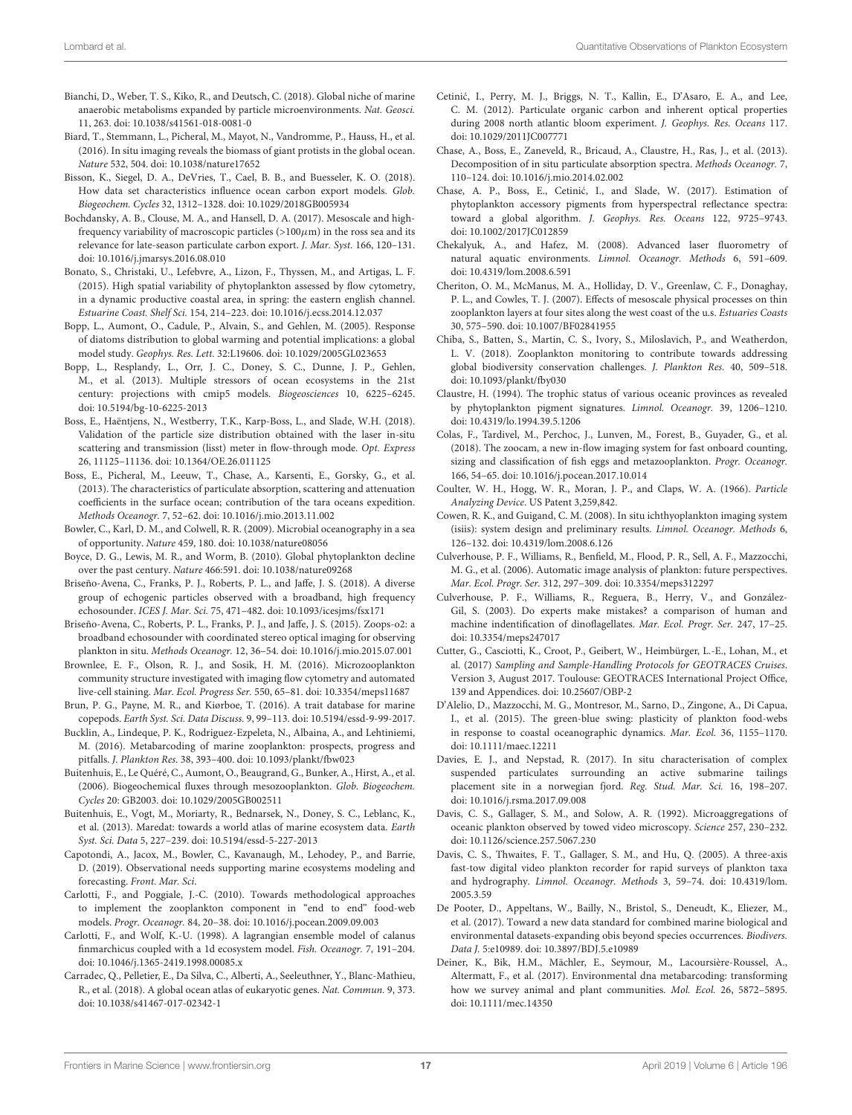- <span id="page-16-32"></span>Bianchi, D., Weber, T. S., Kiko, R., and Deutsch, C. (2018). Global niche of marine anaerobic metabolisms expanded by particle microenvironments. Nat. Geosci. 11, 263. doi: [10.1038/s41561-018-0081-0](https://doi.org/10.1038/s41561-018-0081-0)
- <span id="page-16-20"></span>Biard, T., Stemmann, L., Picheral, M., Mayot, N., Vandromme, P., Hauss, H., et al. (2016). In situ imaging reveals the biomass of giant protists in the global ocean. Nature 532, 504. doi: [10.1038/nature17652](https://doi.org/10.1038/nature17652)
- <span id="page-16-38"></span>Bisson, K., Siegel, D. A., DeVries, T., Cael, B. B., and Buesseler, K. O. (2018). How data set characteristics influence ocean carbon export models. Glob. Biogeochem. Cycles 32, 1312–1328. doi: [10.1029/2018GB005934](https://doi.org/10.1029/2018GB005934)
- <span id="page-16-27"></span>Bochdansky, A. B., Clouse, M. A., and Hansell, D. A. (2017). Mesoscale and highfrequency variability of macroscopic particles ( $>100\mu$ m) in the ross sea and its relevance for late-season particulate carbon export. J. Mar. Syst. 166, 120–131. doi: [10.1016/j.jmarsys.2016.08.010](https://doi.org/10.1016/j.jmarsys.2016.08.010)
- <span id="page-16-19"></span>Bonato, S., Christaki, U., Lefebvre, A., Lizon, F., Thyssen, M., and Artigas, L. F. (2015). High spatial variability of phytoplankton assessed by flow cytometry, in a dynamic productive coastal area, in spring: the eastern english channel. Estuarine Coast. Shelf Sci. 154, 214–223. doi: [10.1016/j.ecss.2014.12.037](https://doi.org/10.1016/j.ecss.2014.12.037)
- <span id="page-16-30"></span>Bopp, L., Aumont, O., Cadule, P., Alvain, S., and Gehlen, M. (2005). Response of diatoms distribution to global warming and potential implications: a global model study. Geophys. Res. Lett. 32:L19606. doi: [10.1029/2005GL023653](https://doi.org/10.1029/2005GL023653)
- <span id="page-16-33"></span>Bopp, L., Resplandy, L., Orr, J. C., Doney, S. C., Dunne, J. P., Gehlen, M., et al. (2013). Multiple stressors of ocean ecosystems in the 21st century: projections with cmip5 models. Biogeosciences 10, 6225–6245. doi: [10.5194/bg-10-6225-2013](https://doi.org/10.5194/bg-10-6225-2013)
- <span id="page-16-18"></span>Boss, E., Haëntjens, N., Westberry, T.K., Karp-Boss, L., and Slade, W.H. (2018). Validation of the particle size distribution obtained with the laser in-situ scattering and transmission (lisst) meter in flow-through mode. Opt. Express 26, 11125–11136. doi: [10.1364/OE.26.011125](https://doi.org/10.1364/OE.26.011125)
- <span id="page-16-14"></span>Boss, E., Picheral, M., Leeuw, T., Chase, A., Karsenti, E., Gorsky, G., et al. (2013). The characteristics of particulate absorption, scattering and attenuation coefficients in the surface ocean; contribution of the tara oceans expedition. Methods Oceanogr. 7, 52–62. doi: [10.1016/j.mio.2013.11.002](https://doi.org/10.1016/j.mio.2013.11.002)
- <span id="page-16-9"></span>Bowler, C., Karl, D. M., and Colwell, R. R. (2009). Microbial oceanography in a sea of opportunity. Nature 459, 180. doi: [10.1038/nature08056](https://doi.org/10.1038/nature08056)
- <span id="page-16-16"></span>Boyce, D. G., Lewis, M. R., and Worm, B. (2010). Global phytoplankton decline over the past century. Nature 466:591. doi: [10.1038/nature09268](https://doi.org/10.1038/nature09268)
- <span id="page-16-11"></span>Briseño-Avena, C., Franks, P. J., Roberts, P. L., and Jaffe, J. S. (2018). A diverse group of echogenic particles observed with a broadband, high frequency echosounder. ICES J. Mar. Sci. 75, 471–482. doi: [10.1093/icesjms/fsx171](https://doi.org/10.1093/icesjms/fsx171)
- <span id="page-16-31"></span>Briseño-Avena, C., Roberts, P. L., Franks, P. J., and Jaffe, J. S. (2015). Zoops-o2: a broadband echosounder with coordinated stereo optical imaging for observing plankton in situ. Methods Oceanogr. 12, 36–54. doi: [10.1016/j.mio.2015.07.001](https://doi.org/10.1016/j.mio.2015.07.001)
- <span id="page-16-2"></span>Brownlee, E. F., Olson, R. J., and Sosik, H. M. (2016). Microzooplankton community structure investigated with imaging flow cytometry and automated live-cell staining. Mar. Ecol. Progress Ser. 550, 65–81. doi: [10.3354/meps11687](https://doi.org/10.3354/meps11687)
- <span id="page-16-37"></span>Brun, P. G., Payne, M. R., and Kiørboe, T. (2016). A trait database for marine copepods. Earth Syst. Sci. Data Discuss. 9, 99–113. doi: [10.5194/essd-9-99-2017.](https://doi.org/10.5194/essd-9-99-2017.)
- <span id="page-16-6"></span>Bucklin, A., Lindeque, P. K., Rodriguez-Ezpeleta, N., Albaina, A., and Lehtiniemi, M. (2016). Metabarcoding of marine zooplankton: prospects, progress and pitfalls. J. Plankton Res. 38, 393–400. doi: [10.1093/plankt/fbw023](https://doi.org/10.1093/plankt/fbw023)
- <span id="page-16-34"></span>Buitenhuis, E., Le Quéré, C., Aumont, O., Beaugrand, G., Bunker, A., Hirst, A., et al. (2006). Biogeochemical fluxes through mesozooplankton. Glob. Biogeochem. Cycles 20: GB2003. doi: [10.1029/2005GB002511](https://doi.org/10.1029/2005GB002511)
- <span id="page-16-1"></span>Buitenhuis, E., Vogt, M., Moriarty, R., Bednarsek, N., Doney, S. C., Leblanc, K., et al. (2013). Maredat: towards a world atlas of marine ecosystem data. Earth Syst. Sci. Data 5, 227–239. doi: [10.5194/essd-5-227-2013](https://doi.org/10.5194/essd-5-227-2013)
- <span id="page-16-39"></span>Capotondi, A., Jacox, M., Bowler, C., Kavanaugh, M., Lehodey, P., and Barrie, D. (2019). Observational needs supporting marine ecosystems modeling and forecasting. Front. Mar. Sci.
- <span id="page-16-36"></span>Carlotti, F., and Poggiale, J.-C. (2010). Towards methodological approaches to implement the zooplankton component in "end to end" food-web models. Progr. Oceanogr. 84, 20–38. doi: [10.1016/j.pocean.2009.09.003](https://doi.org/10.1016/j.pocean.2009.09.003)
- <span id="page-16-35"></span>Carlotti, F., and Wolf, K.-U. (1998). A lagrangian ensemble model of calanus finmarchicus coupled with a 1d ecosystem model. Fish. Oceanogr. 7, 191–204. doi: [10.1046/j.1365-2419.1998.00085.x](https://doi.org/10.1046/j.1365-2419.1998.00085.x)
- <span id="page-16-7"></span>Carradec, Q., Pelletier, E., Da Silva, C., Alberti, A., Seeleuthner, Y., Blanc-Mathieu, R., et al. (2018). A global ocean atlas of eukaryotic genes. Nat. Commun. 9, 373. doi: [10.1038/s41467-017-02342-1](https://doi.org/10.1038/s41467-017-02342-1)
- <span id="page-16-15"></span>Cetinić, I., Perry, M. J., Briggs, N. T., Kallin, E., D'Asaro, E. A., and Lee, C. M. (2012). Particulate organic carbon and inherent optical properties during 2008 north atlantic bloom experiment. J. Geophys. Res. Oceans 117. doi: [10.1029/2011JC007771](https://doi.org/10.1029/2011JC007771)
- <span id="page-16-13"></span>Chase, A., Boss, E., Zaneveld, R., Bricaud, A., Claustre, H., Ras, J., et al. (2013). Decomposition of in situ particulate absorption spectra. Methods Oceanogr. 7, 110–124. doi: [10.1016/j.mio.2014.02.002](https://doi.org/10.1016/j.mio.2014.02.002)
- <span id="page-16-3"></span>Chase, A. P., Boss, E., Cetinić, I., and Slade, W. (2017). Estimation of phytoplankton accessory pigments from hyperspectral reflectance spectra: toward a global algorithm. J. Geophys. Res. Oceans 122, 9725–9743. doi: [10.1002/2017JC012859](https://doi.org/10.1002/2017JC012859)
- <span id="page-16-12"></span>Chekalyuk, A., and Hafez, M. (2008). Advanced laser fluorometry of natural aquatic environments. Limnol. Oceanogr. Methods 6, 591-609. doi: [10.4319/lom.2008.6.591](https://doi.org/10.4319/lom.2008.6.591)
- <span id="page-16-10"></span>Cheriton, O. M., McManus, M. A., Holliday, D. V., Greenlaw, C. F., Donaghay, P. L., and Cowles, T. J. (2007). Effects of mesoscale physical processes on thin zooplankton layers at four sites along the west coast of the u.s. Estuaries Coasts 30, 575–590. doi: [10.1007/BF02841955](https://doi.org/10.1007/BF02841955)
- <span id="page-16-0"></span>Chiba, S., Batten, S., Martin, C. S., Ivory, S., Miloslavich, P., and Weatherdon, L. V. (2018). Zooplankton monitoring to contribute towards addressing global biodiversity conservation challenges. J. Plankton Res. 40, 509–518. doi: [10.1093/plankt/fby030](https://doi.org/10.1093/plankt/fby030)
- <span id="page-16-5"></span>Claustre, H. (1994). The trophic status of various oceanic provinces as revealed by phytoplankton pigment signatures. Limnol. Oceanogr. 39, 1206–1210. doi: [10.4319/lo.1994.39.5.1206](https://doi.org/10.4319/lo.1994.39.5.1206)
- <span id="page-16-23"></span>Colas, F., Tardivel, M., Perchoc, J., Lunven, M., Forest, B., Guyader, G., et al. (2018). The zoocam, a new in-flow imaging system for fast onboard counting, sizing and classification of fish eggs and metazooplankton. Progr. Oceanogr. 166, 54–65. doi: [10.1016/j.pocean.2017.10.014](https://doi.org/10.1016/j.pocean.2017.10.014)
- <span id="page-16-17"></span>Coulter, W. H., Hogg, W. R., Moran, J. P., and Claps, W. A. (1966). Particle Analyzing Device. US Patent 3,259,842.
- <span id="page-16-25"></span>Cowen, R. K., and Guigand, C. M. (2008). In situ ichthyoplankton imaging system (isiis): system design and preliminary results. Limnol. Oceanogr. Methods 6, 126–132. doi: [10.4319/lom.2008.6.126](https://doi.org/10.4319/lom.2008.6.126)
- <span id="page-16-22"></span>Culverhouse, P. F., Williams, R., Benfield, M., Flood, P. R., Sell, A. F., Mazzocchi, M. G., et al. (2006). Automatic image analysis of plankton: future perspectives. Mar. Ecol. Progr. Ser. 312, 297–309. doi: [10.3354/meps312297](https://doi.org/10.3354/meps312297)
- <span id="page-16-21"></span>Culverhouse, P. F., Williams, R., Reguera, B., Herry, V., and González-Gil, S. (2003). Do experts make mistakes? a comparison of human and machine indentification of dinoflagellates. Mar. Ecol. Progr. Ser. 247, 17–25. doi: [10.3354/meps247017](https://doi.org/10.3354/meps247017)
- <span id="page-16-4"></span>Cutter, G., Casciotti, K., Croot, P., Geibert, W., Heimbürger, L.-E., Lohan, M., et al. (2017) Sampling and Sample-Handling Protocols for GEOTRACES Cruises. Version 3, August 2017. Toulouse: GEOTRACES International Project Office, 139 and Appendices. doi: [10.25607/OBP-2](https://doi.org/10.25607/OBP-2)
- <span id="page-16-29"></span>D'Alelio, D., Mazzocchi, M. G., Montresor, M., Sarno, D., Zingone, A., Di Capua, I., et al. (2015). The green-blue swing: plasticity of plankton food-webs in response to coastal oceanographic dynamics. Mar. Ecol. 36, 1155–1170. doi: [10.1111/maec.12211](https://doi.org/10.1111/maec.12211)
- <span id="page-16-28"></span>Davies, E. J., and Nepstad, R. (2017). In situ characterisation of complex suspended particulates surrounding an active submarine tailings placement site in a norwegian fjord. Reg. Stud. Mar. Sci. 16, 198–207. doi: [10.1016/j.rsma.2017.09.008](https://doi.org/10.1016/j.rsma.2017.09.008)
- <span id="page-16-24"></span>Davis, C. S., Gallager, S. M., and Solow, A. R. (1992). Microaggregations of oceanic plankton observed by towed video microscopy. Science 257, 230–232. doi: [10.1126/science.257.5067.230](https://doi.org/10.1126/science.257.5067.230)
- <span id="page-16-26"></span>Davis, C. S., Thwaites, F. T., Gallager, S. M., and Hu, Q. (2005). A three-axis fast-tow digital video plankton recorder for rapid surveys of plankton taxa and hydrography. Limnol. Oceanogr. Methods [3, 59–74. doi: 10.4319/lom.](https://doi.org/10.4319/lom.2005.3.59) 2005.3.59
- <span id="page-16-40"></span>De Pooter, D., Appeltans, W., Bailly, N., Bristol, S., Deneudt, K., Eliezer, M., et al. (2017). Toward a new data standard for combined marine biological and environmental datasets-expanding obis beyond species occurrences. Biodivers. Data J. 5:e10989. doi: [10.3897/BDJ.5.e10989](https://doi.org/10.3897/BDJ.5.e10989)
- <span id="page-16-8"></span>Deiner, K., Bik, H.M., Mächler, E., Seymour, M., Lacoursière-Roussel, A., Altermatt, F., et al. (2017). Environmental dna metabarcoding: transforming how we survey animal and plant communities. Mol. Ecol. 26, 5872–5895. doi: [10.1111/mec.14350](https://doi.org/10.1111/mec.14350)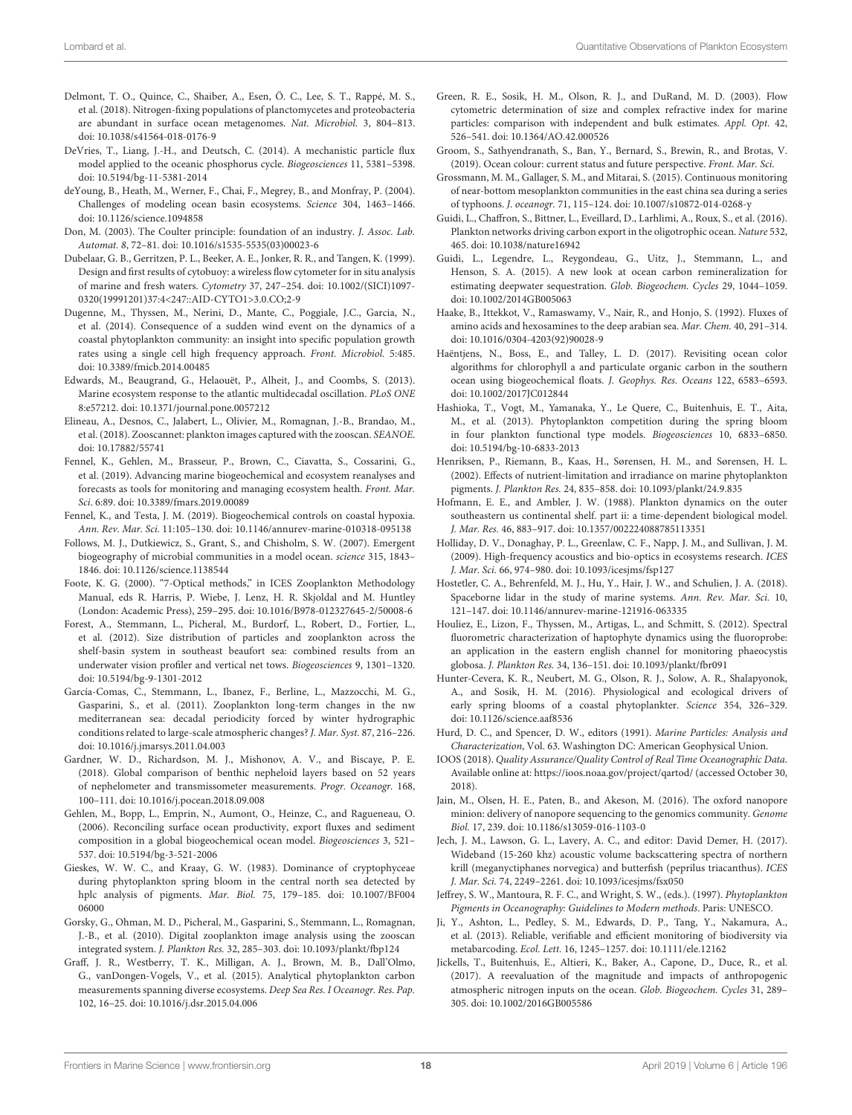- <span id="page-17-9"></span>Delmont, T. O., Quince, C., Shaiber, A., Esen, Ö. C., Lee, S. T., Rappé, M. S., et al. (2018). Nitrogen-fixing populations of planctomycetes and proteobacteria are abundant in surface ocean metagenomes. Nat. Microbiol. 3, 804–813. doi: [10.1038/s41564-018-0176-9](https://doi.org/10.1038/s41564-018-0176-9)
- <span id="page-17-30"></span>DeVries, T., Liang, J.-H., and Deutsch, C. (2014). A mechanistic particle flux model applied to the oceanic phosphorus cycle. Biogeosciences 11, 5381–5398. doi: [10.5194/bg-11-5381-2014](https://doi.org/10.5194/bg-11-5381-2014)
- <span id="page-17-25"></span>deYoung, B., Heath, M., Werner, F., Chai, F., Megrey, B., and Monfray, P. (2004). Challenges of modeling ocean basin ecosystems. Science 304, 1463–1466. doi: [10.1126/science.1094858](https://doi.org/10.1126/science.1094858)
- <span id="page-17-18"></span>Don, M. (2003). The Coulter principle: foundation of an industry. J. Assoc. Lab. Automat. 8, 72–81. doi: [10.1016/s1535-5535\(03\)00023-6](https://doi.org/10.1016/s1535-5535(03)00023-6)
- <span id="page-17-23"></span>Dubelaar, G. B., Gerritzen, P. L., Beeker, A. E., Jonker, R. R., and Tangen, K. (1999). Design and first results of cytobuoy: a wireless flow cytometer for in situ analysis of marine and fresh waters. Cytometry 37, 247–254. doi: 10.1002/(SICI)1097- [0320\(19991201\)37:4<247::AID-CYTO1>3.0.CO;2-9](https://doi.org/10.1002/(SICI)1097-0320(19991201)37:4<247::AID-CYTO1>3.0.CO;2-9)
- <span id="page-17-19"></span>Dugenne, M., Thyssen, M., Nerini, D., Mante, C., Poggiale, J.C., Garcia, N., et al. (2014). Consequence of a sudden wind event on the dynamics of a coastal phytoplankton community: an insight into specific population growth rates using a single cell high frequency approach. Front. Microbiol. 5:485. doi: [10.3389/fmicb.2014.00485](https://doi.org/10.3389/fmicb.2014.00485)
- <span id="page-17-0"></span>Edwards, M., Beaugrand, G., Helaouët, P., Alheit, J., and Coombs, S. (2013). Marine ecosystem response to the atlantic multidecadal oscillation. PLoS ONE 8:e57212. doi: [10.1371/journal.pone.0057212](https://doi.org/10.1371/journal.pone.0057212)
- <span id="page-17-38"></span>Elineau, A., Desnos, C., Jalabert, L., Olivier, M., Romagnan, J.-B., Brandao, M., et al. (2018). Zooscannet: plankton images captured with the zooscan. SEANOE. doi: [10.17882/55741](https://doi.org/10.17882/55741)
- <span id="page-17-31"></span>Fennel, K., Gehlen, M., Brasseur, P., Brown, C., Ciavatta, S., Cossarini, G., et al. (2019). Advancing marine biogeochemical and ecosystem reanalyses and forecasts as tools for monitoring and managing ecosystem health. Front. Mar. Sci. 6:89. doi: [10.3389/fmars.2019.00089](https://doi.org/10.3389/fmars.2019.00089)
- <span id="page-17-29"></span>Fennel, K., and Testa, J. M. (2019). Biogeochemical controls on coastal hypoxia. Ann. Rev. Mar. Sci. 11:105–130. doi: [10.1146/annurev-marine-010318-095138](https://doi.org/10.1146/annurev-marine-010318-095138)
- <span id="page-17-26"></span>Follows, M. J., Dutkiewicz, S., Grant, S., and Chisholm, S. W. (2007). Emergent biogeography of microbial communities in a model ocean. science 315, 1843– 1846. doi: [10.1126/science.1138544](https://doi.org/10.1126/science.1138544)
- <span id="page-17-20"></span>Foote, K. G. (2000). "7-Optical methods," in ICES Zooplankton Methodology Manual, eds R. Harris, P. Wiebe, J. Lenz, H. R. Skjoldal and M. Huntley (London: Academic Press), 259–295. doi: [10.1016/B978-012327645-2/50008-6](https://doi.org/10.1016/B978-012327645-2/50008-6)
- <span id="page-17-37"></span>Forest, A., Stemmann, L., Picheral, M., Burdorf, L., Robert, D., Fortier, L., et al. (2012). Size distribution of particles and zooplankton across the shelf-basin system in southeast beaufort sea: combined results from an underwater vision profiler and vertical net tows. Biogeosciences 9, 1301–1320. doi: [10.5194/bg-9-1301-2012](https://doi.org/10.5194/bg-9-1301-2012)
- <span id="page-17-36"></span>García-Comas, C., Stemmann, L., Ibanez, F., Berline, L., Mazzocchi, M. G., Gasparini, S., et al. (2011). Zooplankton long-term changes in the nw mediterranean sea: decadal periodicity forced by winter hydrographic conditions related to large-scale atmospheric changes?J. Mar. Syst. 87, 216–226. doi: [10.1016/j.jmarsys.2011.04.003](https://doi.org/10.1016/j.jmarsys.2011.04.003)
- <span id="page-17-14"></span>Gardner, W. D., Richardson, M. J., Mishonov, A. V., and Biscaye, P. E. (2018). Global comparison of benthic nepheloid layers based on 52 years of nephelometer and transmissometer measurements. Progr. Oceanogr. 168, 100–111. doi: [10.1016/j.pocean.2018.09.008](https://doi.org/10.1016/j.pocean.2018.09.008)
- <span id="page-17-35"></span>Gehlen, M., Bopp, L., Emprin, N., Aumont, O., Heinze, C., and Ragueneau, O. (2006). Reconciling surface ocean productivity, export fluxes and sediment composition in a global biogeochemical ocean model. Biogeosciences 3, 521– 537. doi: [10.5194/bg-3-521-2006](https://doi.org/10.5194/bg-3-521-2006)
- <span id="page-17-6"></span>Gieskes, W. W. C., and Kraay, G. W. (1983). Dominance of cryptophyceae during phytoplankton spring bloom in the central north sea detected by hplc analysis of pigments. Mar. Biol. [75, 179–185. doi: 10.1007/BF004](https://doi.org/10.1007/BF00406000) 06000
- <span id="page-17-24"></span>Gorsky, G., Ohman, M. D., Picheral, M., Gasparini, S., Stemmann, L., Romagnan, J.-B., et al. (2010). Digital zooplankton image analysis using the zooscan integrated system. J. Plankton Res. 32, 285–303. doi: [10.1093/plankt/fbp124](https://doi.org/10.1093/plankt/fbp124)
- <span id="page-17-17"></span>Graff, J. R., Westberry, T. K., Milligan, A. J., Brown, M. B., Dall'Olmo, G., vanDongen-Vogels, V., et al. (2015). Analytical phytoplankton carbon measurements spanning diverse ecosystems. Deep Sea Res. I Oceanogr. Res. Pap. 102, 16–25. doi: [10.1016/j.dsr.2015.04.006](https://doi.org/10.1016/j.dsr.2015.04.006)
- <span id="page-17-22"></span>Green, R. E., Sosik, H. M., Olson, R. J., and DuRand, M. D. (2003). Flow cytometric determination of size and complex refractive index for marine particles: comparison with independent and bulk estimates. Appl. Opt. 42, 526–541. doi: [10.1364/AO.42.000526](https://doi.org/10.1364/AO.42.000526)
- <span id="page-17-3"></span>Groom, S., Sathyendranath, S., Ban, Y., Bernard, S., Brewin, R., and Brotas, V. (2019). Ocean colour: current status and future perspective. Front. Mar. Sci.
- <span id="page-17-2"></span>Grossmann, M. M., Gallager, S. M., and Mitarai, S. (2015). Continuous monitoring of near-bottom mesoplankton communities in the east china sea during a series of typhoons. J. oceanogr. 71, 115–124. doi: [10.1007/s10872-014-0268-y](https://doi.org/10.1007/s10872-014-0268-y)
- <span id="page-17-32"></span>Guidi, L., Chaffron, S., Bittner, L., Eveillard, D., Larhlimi, A., Roux, S., et al. (2016). Plankton networks driving carbon export in the oligotrophic ocean. Nature 532, 465. doi: [10.1038/nature16942](https://doi.org/10.1038/nature16942)
- <span id="page-17-21"></span>Guidi, L., Legendre, L., Reygondeau, G., Uitz, J., Stemmann, L., and Henson, S. A. (2015). A new look at ocean carbon remineralization for estimating deepwater sequestration. Glob. Biogeochem. Cycles 29, 1044–1059. doi: [10.1002/2014GB005063](https://doi.org/10.1002/2014GB005063)
- <span id="page-17-34"></span>Haake, B., Ittekkot, V., Ramaswamy, V., Nair, R., and Honjo, S. (1992). Fluxes of amino acids and hexosamines to the deep arabian sea. Mar. Chem. 40, 291–314. doi: [10.1016/0304-4203\(92\)90028-9](https://doi.org/10.1016/0304-4203(92)90028-9)
- <span id="page-17-16"></span>Haëntjens, N., Boss, E., and Talley, L. D. (2017). Revisiting ocean color algorithms for chlorophyll a and particulate organic carbon in the southern ocean using biogeochemical floats. J. Geophys. Res. Oceans 122, 6583–6593. doi: [10.1002/2017JC012844](https://doi.org/10.1002/2017JC012844)
- <span id="page-17-27"></span>Hashioka, T., Vogt, M., Yamanaka, Y., Le Quere, C., Buitenhuis, E. T., Aita, M., et al. (2013). Phytoplankton competition during the spring bloom in four plankton functional type models. Biogeosciences 10, 6833–6850. doi: [10.5194/bg-10-6833-2013](https://doi.org/10.5194/bg-10-6833-2013)
- <span id="page-17-8"></span>Henriksen, P., Riemann, B., Kaas, H., Sørensen, H. M., and Sørensen, H. L. (2002). Effects of nutrient-limitation and irradiance on marine phytoplankton pigments. J. Plankton Res. 24, 835–858. doi: [10.1093/plankt/24.9.835](https://doi.org/10.1093/plankt/24.9.835)
- <span id="page-17-33"></span>Hofmann, E. E., and Ambler, J. W. (1988). Plankton dynamics on the outer southeastern us continental shelf. part ii: a time-dependent biological model. J. Mar. Res. 46, 883–917. doi: [10.1357/002224088785113351](https://doi.org/10.1357/002224088785113351)
- <span id="page-17-12"></span>Holliday, D. V., Donaghay, P. L., Greenlaw, C. F., Napp, J. M., and Sullivan, J. M. (2009). High-frequency acoustics and bio-optics in ecosystems research. ICES J. Mar. Sci. 66, 974–980. doi: [10.1093/icesjms/fsp127](https://doi.org/10.1093/icesjms/fsp127)
- <span id="page-17-4"></span>Hostetler, C. A., Behrenfeld, M. J., Hu, Y., Hair, J. W., and Schulien, J. A. (2018). Spaceborne lidar in the study of marine systems. Ann. Rev. Mar. Sci. 10, 121–147. doi: [10.1146/annurev-marine-121916-063335](https://doi.org/10.1146/annurev-marine-121916-063335)
- <span id="page-17-15"></span>Houliez, E., Lizon, F., Thyssen, M., Artigas, L., and Schmitt, S. (2012). Spectral fluorometric characterization of haptophyte dynamics using the fluoroprobe: an application in the eastern english channel for monitoring phaeocystis globosa. J. Plankton Res. 34, 136–151. doi: [10.1093/plankt/fbr091](https://doi.org/10.1093/plankt/fbr091)
- <span id="page-17-1"></span>Hunter-Cevera, K. R., Neubert, M. G., Olson, R. J., Solow, A. R., Shalapyonok, A., and Sosik, H. M. (2016). Physiological and ecological drivers of early spring blooms of a coastal phytoplankter. Science 354, 326–329. doi: [10.1126/science.aaf8536](https://doi.org/10.1126/science.aaf8536)
- <span id="page-17-5"></span>Hurd, D. C., and Spencer, D. W., editors (1991). Marine Particles: Analysis and Characterization, Vol. 63. Washington DC: American Geophysical Union.
- <span id="page-17-39"></span>IOOS (2018). Quality Assurance/Quality Control of Real Time Oceanographic Data. Available online at:<https://ioos.noaa.gov/project/qartod/> (accessed October 30, 2018).
- <span id="page-17-11"></span>Jain, M., Olsen, H. E., Paten, B., and Akeson, M. (2016). The oxford nanopore minion: delivery of nanopore sequencing to the genomics community. Genome Biol. 17, 239. doi: [10.1186/s13059-016-1103-0](https://doi.org/10.1186/s13059-016-1103-0)
- <span id="page-17-13"></span>Jech, J. M., Lawson, G. L., Lavery, A. C., and editor: David Demer, H. (2017). Wideband (15-260 khz) acoustic volume backscattering spectra of northern krill (meganyctiphanes norvegica) and butterfish (peprilus triacanthus). ICES J. Mar. Sci. 74, 2249–2261. doi: [10.1093/icesjms/fsx050](https://doi.org/10.1093/icesjms/fsx050)
- <span id="page-17-7"></span>Jeffrey, S. W., Mantoura, R. F. C., and Wright, S. W., (eds.). (1997). Phytoplankton Pigments in Oceanography: Guidelines to Modern methods. Paris: UNESCO.
- <span id="page-17-10"></span>Ji, Y., Ashton, L., Pedley, S. M., Edwards, D. P., Tang, Y., Nakamura, A., et al. (2013). Reliable, verifiable and efficient monitoring of biodiversity via metabarcoding. Ecol. Lett. 16, 1245–1257. doi: [10.1111/ele.12162](https://doi.org/10.1111/ele.12162)
- <span id="page-17-28"></span>Jickells, T., Buitenhuis, E., Altieri, K., Baker, A., Capone, D., Duce, R., et al. (2017). A reevaluation of the magnitude and impacts of anthropogenic atmospheric nitrogen inputs on the ocean. Glob. Biogeochem. Cycles 31, 289– 305. doi: [10.1002/2016GB005586](https://doi.org/10.1002/2016GB005586)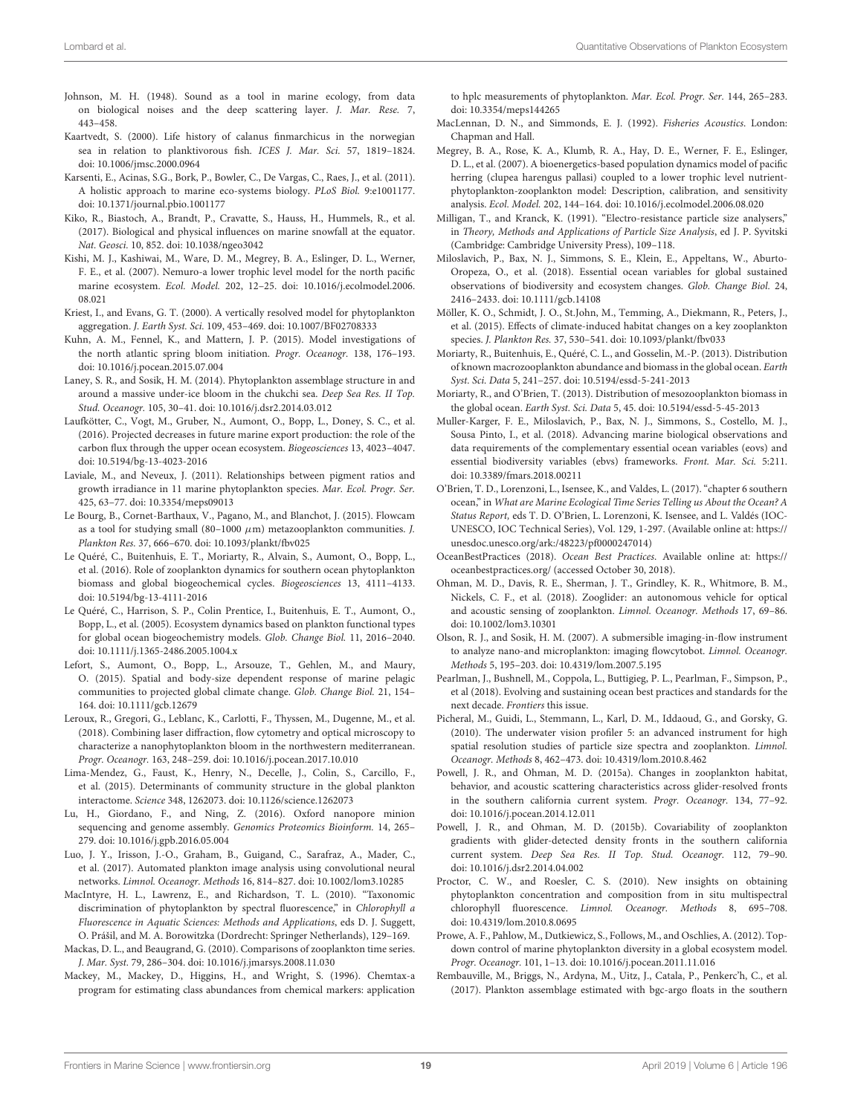- <span id="page-18-12"></span>Johnson, M. H. (1948). Sound as a tool in marine ecology, from data on biological noises and the deep scattering layer. J. Mar. Rese. 7, 443–458.
- <span id="page-18-13"></span>Kaartvedt, S. (2000). Life history of calanus finmarchicus in the norwegian sea in relation to planktivorous fish. ICES J. Mar. Sci. 57, 1819–1824. doi: [10.1006/jmsc.2000.0964](https://doi.org/10.1006/jmsc.2000.0964)
- <span id="page-18-26"></span>Karsenti, E., Acinas, S.G., Bork, P., Bowler, C., De Vargas, C., Raes, J., et al. (2011). A holistic approach to marine eco-systems biology. PLoS Biol. 9:e1001177. doi: [10.1371/journal.pbio.1001177](https://doi.org/10.1371/journal.pbio.1001177)
- <span id="page-18-3"></span>Kiko, R., Biastoch, A., Brandt, P., Cravatte, S., Hauss, H., Hummels, R., et al. (2017). Biological and physical influences on marine snowfall at the equator. Nat. Geosci. 10, 852. doi: [10.1038/ngeo3042](https://doi.org/10.1038/ngeo3042)
- <span id="page-18-35"></span>Kishi, M. J., Kashiwai, M., Ware, D. M., Megrey, B. A., Eslinger, D. L., Werner, F. E., et al. (2007). Nemuro-a lower trophic level model for the north pacific marine ecosystem. Ecol. Model. [202, 12–25. doi: 10.1016/j.ecolmodel.2006.](https://doi.org/10.1016/j.ecolmodel.2006.08.021) 08.021
- <span id="page-18-36"></span>Kriest, I., and Evans, G. T. (2000). A vertically resolved model for phytoplankton aggregation. J. Earth Syst. Sci. 109, 453–469. doi: [10.1007/BF02708333](https://doi.org/10.1007/BF02708333)
- <span id="page-18-27"></span>Kuhn, A. M., Fennel, K., and Mattern, J. P. (2015). Model investigations of the north atlantic spring bloom initiation. Progr. Oceanogr. 138, 176–193. doi: [10.1016/j.pocean.2015.07.004](https://doi.org/10.1016/j.pocean.2015.07.004)
- <span id="page-18-23"></span>Laney, S. R., and Sosik, H. M. (2014). Phytoplankton assemblage structure in and around a massive under-ice bloom in the chukchi sea. Deep Sea Res. II Top. Stud. Oceanogr. 105, 30–41. doi: [10.1016/j.dsr2.2014.03.012](https://doi.org/10.1016/j.dsr2.2014.03.012)
- <span id="page-18-28"></span>Laufkötter, C., Vogt, M., Gruber, N., Aumont, O., Bopp, L., Doney, S. C., et al. (2016). Projected decreases in future marine export production: the role of the carbon flux through the upper ocean ecosystem. Biogeosciences 13, 4023–4047. doi: [10.5194/bg-13-4023-2016](https://doi.org/10.5194/bg-13-4023-2016)
- <span id="page-18-10"></span>Laviale, M., and Neveux, J. (2011). Relationships between pigment ratios and growth irradiance in 11 marine phytoplankton species. Mar. Ecol. Progr. Ser. 425, 63–77. doi: [10.3354/meps09013](https://doi.org/10.3354/meps09013)
- <span id="page-18-38"></span>Le Bourg, B., Cornet-Barthaux, V., Pagano, M., and Blanchot, J. (2015). Flowcam as a tool for studying small (80-1000  $\mu$ m) metazooplankton communities. J. Plankton Res. 37, 666–670. doi: [10.1093/plankt/fbv025](https://doi.org/10.1093/plankt/fbv025)
- <span id="page-18-33"></span>Le Quéré, C., Buitenhuis, E. T., Moriarty, R., Alvain, S., Aumont, O., Bopp, L., et al. (2016). Role of zooplankton dynamics for southern ocean phytoplankton biomass and global biogeochemical cycles. Biogeosciences 13, 4111–4133. doi: [10.5194/bg-13-4111-2016](https://doi.org/10.5194/bg-13-4111-2016)
- <span id="page-18-31"></span>Le Quéré, C., Harrison, S. P., Colin Prentice, I., Buitenhuis, E. T., Aumont, O., Bopp, L., et al. (2005). Ecosystem dynamics based on plankton functional types for global ocean biogeochemistry models. Glob. Change Biol. 11, 2016–2040. doi: [10.1111/j.1365-2486.2005.1004.x](https://doi.org/10.1111/j.1365-2486.2005.1004.x)
- <span id="page-18-30"></span>Lefort, S., Aumont, O., Bopp, L., Arsouze, T., Gehlen, M., and Maury, O. (2015). Spatial and body-size dependent response of marine pelagic communities to projected global climate change. Glob. Change Biol. 21, 154– 164. doi: [10.1111/gcb.12679](https://doi.org/10.1111/gcb.12679)
- <span id="page-18-19"></span>Leroux, R., Gregori, G., Leblanc, K., Carlotti, F., Thyssen, M., Dugenne, M., et al. (2018). Combining laser diffraction, flow cytometry and optical microscopy to characterize a nanophytoplankton bloom in the northwestern mediterranean. Progr. Oceanogr. 163, 248–259. doi: [10.1016/j.pocean.2017.10.010](https://doi.org/10.1016/j.pocean.2017.10.010)
- <span id="page-18-32"></span>Lima-Mendez, G., Faust, K., Henry, N., Decelle, J., Colin, S., Carcillo, F., et al. (2015). Determinants of community structure in the global plankton interactome. Science 348, 1262073. doi: [10.1126/science.1262073](https://doi.org/10.1126/science.1262073)
- <span id="page-18-11"></span>Lu, H., Giordano, F., and Ning, Z. (2016). Oxford nanopore minion sequencing and genome assembly. Genomics Proteomics Bioinform. 14, 265– 279. doi: [10.1016/j.gpb.2016.05.004](https://doi.org/10.1016/j.gpb.2016.05.004)
- <span id="page-18-22"></span>Luo, J. Y., Irisson, J.-O., Graham, B., Guigand, C., Sarafraz, A., Mader, C., et al. (2017). Automated plankton image analysis using convolutional neural networks. Limnol. Oceanogr. Methods 16, 814–827. doi: [10.1002/lom3.10285](https://doi.org/10.1002/lom3.10285)
- <span id="page-18-17"></span>MacIntyre, H. L., Lawrenz, E., and Richardson, T. L. (2010). "Taxonomic discrimination of phytoplankton by spectral fluorescence," in Chlorophyll a Fluorescence in Aquatic Sciences: Methods and Applications, eds D. J. Suggett, O. Prášil, and M. A. Borowitzka (Dordrecht: Springer Netherlands), 129–169.
- <span id="page-18-0"></span>Mackas, D. L., and Beaugrand, G. (2010). Comparisons of zooplankton time series. J. Mar. Syst. 79, 286–304. doi: [10.1016/j.jmarsys.2008.11.030](https://doi.org/10.1016/j.jmarsys.2008.11.030)
- <span id="page-18-9"></span>Mackey, M., Mackey, D., Higgins, H., and Wright, S. (1996). Chemtax-a program for estimating class abundances from chemical markers: application

to hplc measurements of phytoplankton. Mar. Ecol. Progr. Ser. 144, 265–283. doi: [10.3354/meps144265](https://doi.org/10.3354/meps144265)

- <span id="page-18-15"></span>MacLennan, D. N., and Simmonds, E. J. (1992). Fisheries Acoustics. London: Chapman and Hall.
- <span id="page-18-29"></span>Megrey, B. A., Rose, K. A., Klumb, R. A., Hay, D. E., Werner, F. E., Eslinger, D. L., et al. (2007). A bioenergetics-based population dynamics model of pacific herring (clupea harengus pallasi) coupled to a lower trophic level nutrientphytoplankton-zooplankton model: Description, calibration, and sensitivity analysis. Ecol. Model. 202, 144–164. doi: [10.1016/j.ecolmodel.2006.08.020](https://doi.org/10.1016/j.ecolmodel.2006.08.020)
- <span id="page-18-20"></span>Milligan, T., and Kranck, K. (1991). "Electro-resistance particle size analysers," in Theory, Methods and Applications of Particle Size Analysis, ed J. P. Syvitski (Cambridge: Cambridge University Press), 109–118.
- <span id="page-18-1"></span>Miloslavich, P., Bax, N. J., Simmons, S. E., Klein, E., Appeltans, W., Aburto-Oropeza, O., et al. (2018). Essential ocean variables for global sustained observations of biodiversity and ecosystem changes. Glob. Change Biol. 24, 2416–2433. doi: [10.1111/gcb.14108](https://doi.org/10.1111/gcb.14108)
- <span id="page-18-21"></span>Möller, K. O., Schmidt, J. O., St.John, M., Temming, A., Diekmann, R., Peters, J., et al. (2015). Effects of climate-induced habitat changes on a key zooplankton species. J. Plankton Res. 37, 530–541. doi: [10.1093/plankt/fbv033](https://doi.org/10.1093/plankt/fbv033)
- <span id="page-18-5"></span>Moriarty, R., Buitenhuis, E., Quéré, C. L., and Gosselin, M.-P. (2013). Distribution of known macrozooplankton abundance and biomass in the global ocean. Earth Syst. Sci. Data 5, 241–257. doi: [10.5194/essd-5-241-2013](https://doi.org/10.5194/essd-5-241-2013)
- <span id="page-18-4"></span>Moriarty, R., and O'Brien, T. (2013). Distribution of mesozooplankton biomass in the global ocean. Earth Syst. Sci. Data 5, 45. doi: [10.5194/essd-5-45-2013](https://doi.org/10.5194/essd-5-45-2013)
- <span id="page-18-2"></span>Muller-Karger, F. E., Miloslavich, P., Bax, N. J., Simmons, S., Costello, M. J., Sousa Pinto, I., et al. (2018). Advancing marine biological observations and data requirements of the complementary essential ocean variables (eovs) and essential biodiversity variables (ebvs) frameworks. Front. Mar. Sci. 5:211. doi: [10.3389/fmars.2018.00211](https://doi.org/10.3389/fmars.2018.00211)
- <span id="page-18-6"></span>O'Brien, T. D., Lorenzoni, L., Isensee, K., and Valdes, L. (2017). "chapter 6 southern ocean," in What are Marine Ecological Time Series Telling us About the Ocean? A Status Report, eds T. D. O'Brien, L. Lorenzoni, K. Isensee, and L. Valdés (IOC-UNESCO, IOC Technical Series), Vol. 129, 1-297. (Available online at: [https://](https://unesdoc.unesco.org/ark:/48223/pf0000247014) [unesdoc.unesco.org/ark:/48223/pf0000247014\)](https://unesdoc.unesco.org/ark:/48223/pf0000247014)
- <span id="page-18-37"></span>OceanBestPractices (2018). Ocean Best Practices. Available online at: [https://](https://oceanbestpractices.org/) [oceanbestpractices.org/](https://oceanbestpractices.org/) (accessed October 30, 2018).
- <span id="page-18-8"></span>Ohman, M. D., Davis, R. E., Sherman, J. T., Grindley, K. R., Whitmore, B. M., Nickels, C. F., et al. (2018). Zooglider: an autonomous vehicle for optical and acoustic sensing of zooplankton. Limnol. Oceanogr. Methods 17, 69–86. doi: [10.1002/lom3.10301](https://doi.org/10.1002/lom3.10301)
- <span id="page-18-24"></span>Olson, R. J., and Sosik, H. M. (2007). A submersible imaging-in-flow instrument to analyze nano-and microplankton: imaging flowcytobot. Limnol. Oceanogr. Methods 5, 195–203. doi: [10.4319/lom.2007.5.195](https://doi.org/10.4319/lom.2007.5.195)
- <span id="page-18-39"></span>Pearlman, J., Bushnell, M., Coppola, L., Buttigieg, P. L., Pearlman, F., Simpson, P., et al (2018). Evolving and sustaining ocean best practices and standards for the next decade. Frontiers this issue.
- <span id="page-18-25"></span>Picheral, M., Guidi, L., Stemmann, L., Karl, D. M., Iddaoud, G., and Gorsky, G. (2010). The underwater vision profiler 5: an advanced instrument for high spatial resolution studies of particle size spectra and zooplankton. Limnol. Oceanogr. Methods 8, 462–473. doi: [10.4319/lom.2010.8.462](https://doi.org/10.4319/lom.2010.8.462)
- <span id="page-18-7"></span>Powell, J. R., and Ohman, M. D. (2015a). Changes in zooplankton habitat, behavior, and acoustic scattering characteristics across glider-resolved fronts in the southern california current system. Progr. Oceanogr. 134, 77–92. doi: [10.1016/j.pocean.2014.12.011](https://doi.org/10.1016/j.pocean.2014.12.011)
- <span id="page-18-14"></span>Powell, J. R., and Ohman, M. D. (2015b). Covariability of zooplankton gradients with glider-detected density fronts in the southern california current system. Deep Sea Res. II Top. Stud. Oceanogr. 112, 79–90. doi: [10.1016/j.dsr2.2014.04.002](https://doi.org/10.1016/j.dsr2.2014.04.002)
- <span id="page-18-16"></span>Proctor, C. W., and Roesler, C. S. (2010). New insights on obtaining phytoplankton concentration and composition from in situ multispectral chlorophyll fluorescence. Limnol. Oceanogr. Methods 8, 695–708. doi: [10.4319/lom.2010.8.0695](https://doi.org/10.4319/lom.2010.8.0695)
- <span id="page-18-34"></span>Prowe, A. F., Pahlow, M., Dutkiewicz, S., Follows, M., and Oschlies, A. (2012). Topdown control of marine phytoplankton diversity in a global ecosystem model. Progr. Oceanogr. 101, 1–13. doi: [10.1016/j.pocean.2011.11.016](https://doi.org/10.1016/j.pocean.2011.11.016)
- <span id="page-18-18"></span>Rembauville, M., Briggs, N., Ardyna, M., Uitz, J., Catala, P., Penkerc'h, C., et al. (2017). Plankton assemblage estimated with bgc-argo floats in the southern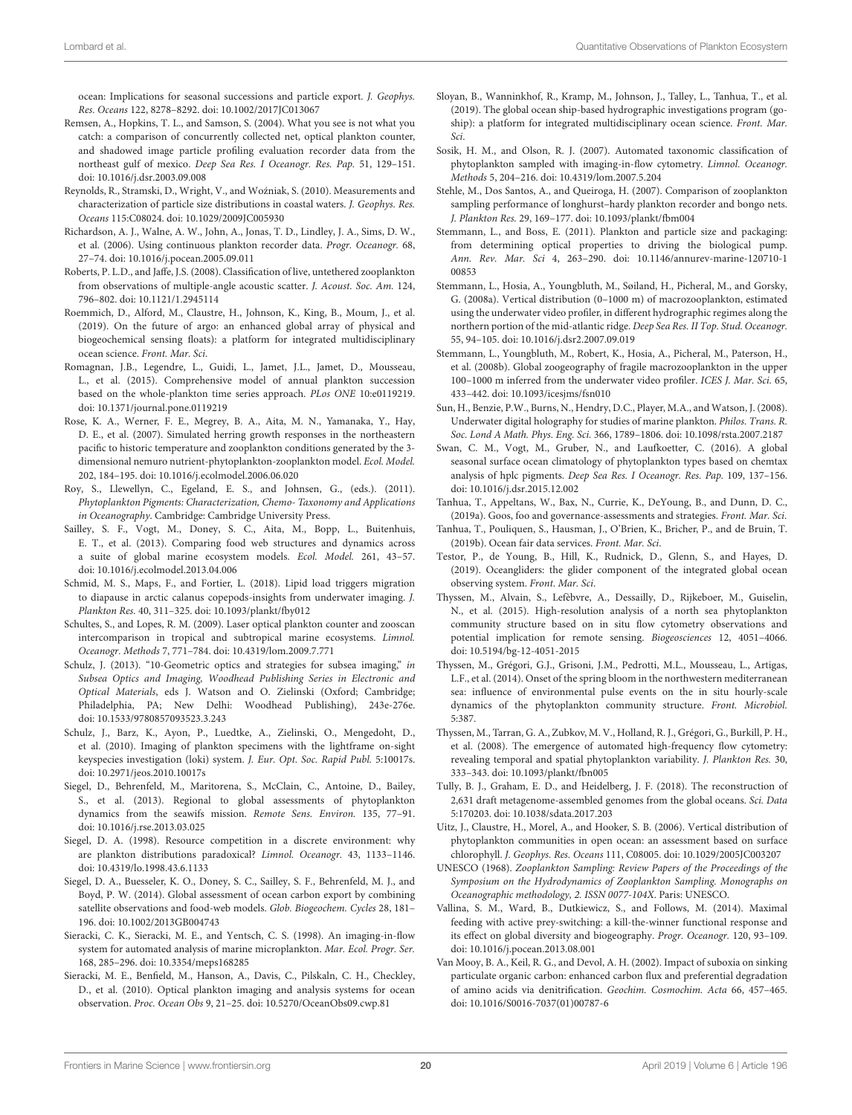ocean: Implications for seasonal successions and particle export. J. Geophys. Res. Oceans 122, 8278–8292. doi: [10.1002/2017JC013067](https://doi.org/10.1002/2017JC013067)

- <span id="page-19-21"></span>Remsen, A., Hopkins, T. L., and Samson, S. (2004). What you see is not what you catch: a comparison of concurrently collected net, optical plankton counter, and shadowed image particle profiling evaluation recorder data from the northeast gulf of mexico. Deep Sea Res. I Oceanogr. Res. Pap. 51, 129–151. doi: [10.1016/j.dsr.2003.09.008](https://doi.org/10.1016/j.dsr.2003.09.008)
- <span id="page-19-11"></span>Reynolds, R., Stramski, D., Wright, V., and Wozniak, S. (2010). Measurements and ´ characterization of particle size distributions in coastal waters. J. Geophys. Res. Oceans 115:C08024. doi: [10.1029/2009JC005930](https://doi.org/10.1029/2009JC005930)
- <span id="page-19-6"></span>Richardson, A. J., Walne, A. W., John, A., Jonas, T. D., Lindley, J. A., Sims, D. W., et al. (2006). Using continuous plankton recorder data. Progr. Oceanogr. 68, 27–74. doi: [10.1016/j.pocean.2005.09.011](https://doi.org/10.1016/j.pocean.2005.09.011)
- <span id="page-19-10"></span>Roberts, P. L.D., and Jaffe, J.S. (2008). Classification of live, untethered zooplankton from observations of multiple-angle acoustic scatter. J. Acoust. Soc. Am. 124, 796–802. doi: [10.1121/1.2945114](https://doi.org/10.1121/1.2945114)
- <span id="page-19-1"></span>Roemmich, D., Alford, M., Claustre, H., Johnson, K., King, B., Moum, J., et al. (2019). On the future of argo: an enhanced global array of physical and biogeochemical sensing floats): a platform for integrated multidisciplinary ocean science. Front. Mar. Sci.
- <span id="page-19-26"></span>Romagnan, J.B., Legendre, L., Guidi, L., Jamet, J.L., Jamet, D., Mousseau, L., et al. (2015). Comprehensive model of annual plankton succession based on the whole-plankton time series approach. PLos ONE 10:e0119219. doi: [10.1371/journal.pone.0119219](https://doi.org/10.1371/journal.pone.0119219)
- <span id="page-19-27"></span>Rose, K. A., Werner, F. E., Megrey, B. A., Aita, M. N., Yamanaka, Y., Hay, D. E., et al. (2007). Simulated herring growth responses in the northeastern pacific to historic temperature and zooplankton conditions generated by the 3 dimensional nemuro nutrient-phytoplankton-zooplankton model. Ecol. Model. 202, 184–195. doi: [10.1016/j.ecolmodel.2006.06.020](https://doi.org/10.1016/j.ecolmodel.2006.06.020)
- <span id="page-19-7"></span>Roy, S., Llewellyn, C., Egeland, E. S., and Johnsen, G., (eds.). (2011). Phytoplankton Pigments: Characterization, Chemo- Taxonomy and Applications in Oceanography. Cambridge: Cambridge University Press.
- <span id="page-19-29"></span>Sailley, S. F., Vogt, M., Doney, S. C., Aita, M., Bopp, L., Buitenhuis, E. T., et al. (2013). Comparing food web structures and dynamics across a suite of global marine ecosystem models. Ecol. Model. 261, 43–57. doi: [10.1016/j.ecolmodel.2013.04.006](https://doi.org/10.1016/j.ecolmodel.2013.04.006)
- <span id="page-19-24"></span>Schmid, M. S., Maps, F., and Fortier, L. (2018). Lipid load triggers migration to diapause in arctic calanus copepods-insights from underwater imaging. J. Plankton Res. 40, 311–325. doi: [10.1093/plankt/fby012](https://doi.org/10.1093/plankt/fby012)
- <span id="page-19-33"></span>Schultes, S., and Lopes, R. M. (2009). Laser optical plankton counter and zooscan intercomparison in tropical and subtropical marine ecosystems. Limnol. Oceanogr. Methods 7, 771–784. doi: [10.4319/lom.2009.7.771](https://doi.org/10.4319/lom.2009.7.771)
- <span id="page-19-20"></span>Schulz, J. (2013). "10-Geometric optics and strategies for subsea imaging," in Subsea Optics and Imaging, Woodhead Publishing Series in Electronic and Optical Materials, eds J. Watson and O. Zielinski (Oxford; Cambridge; Philadelphia, PA; New Delhi: Woodhead Publishing), 243e-276e. doi: [10.1533/9780857093523.3.243](https://doi.org/10.1533/9780857093523.3.243)
- <span id="page-19-23"></span>Schulz, J., Barz, K., Ayon, P., Luedtke, A., Zielinski, O., Mengedoht, D., et al. (2010). Imaging of plankton specimens with the lightframe on-sight keyspecies investigation (loki) system. J. Eur. Opt. Soc. Rapid Publ. 5:10017s. doi: [10.2971/jeos.2010.10017s](https://doi.org/10.2971/jeos.2010.10017s)
- <span id="page-19-5"></span>Siegel, D., Behrenfeld, M., Maritorena, S., McClain, C., Antoine, D., Bailey, S., et al. (2013). Regional to global assessments of phytoplankton dynamics from the seawifs mission. Remote Sens. Environ. 135, 77–91. doi: [10.1016/j.rse.2013.03.025](https://doi.org/10.1016/j.rse.2013.03.025)
- <span id="page-19-34"></span>Siegel, D. A. (1998). Resource competition in a discrete environment: why are plankton distributions paradoxical? Limnol. Oceanogr. 43, 1133–1146. doi: [10.4319/lo.1998.43.6.1133](https://doi.org/10.4319/lo.1998.43.6.1133)
- <span id="page-19-31"></span>Siegel, D. A., Buesseler, K. O., Doney, S. C., Sailley, S. F., Behrenfeld, M. J., and Boyd, P. W. (2014). Global assessment of ocean carbon export by combining satellite observations and food-web models. Glob. Biogeochem. Cycles 28, 181– 196. doi: [10.1002/2013GB004743](https://doi.org/10.1002/2013GB004743)
- <span id="page-19-19"></span>Sieracki, C. K., Sieracki, M. E., and Yentsch, C. S. (1998). An imaging-in-flow system for automated analysis of marine microplankton. Mar. Ecol. Progr. Ser. 168, 285–296. doi: [10.3354/meps168285](https://doi.org/10.3354/meps168285)
- <span id="page-19-12"></span>Sieracki, M. E., Benfield, M., Hanson, A., Davis, C., Pilskaln, C. H., Checkley, D., et al. (2010). Optical plankton imaging and analysis systems for ocean observation. Proc. Ocean Obs 9, 21–25. doi: [10.5270/OceanObs09.cwp.81](https://doi.org/10.5270/OceanObs09.cwp.81)
- <span id="page-19-3"></span>Sloyan, B., Wanninkhof, R., Kramp, M., Johnson, J., Talley, L., Tanhua, T., et al. (2019). The global ocean ship-based hydrographic investigations program (goship): a platform for integrated multidisciplinary ocean science. Front. Mar. Sci.
- <span id="page-19-18"></span>Sosik, H. M., and Olson, R. J. (2007). Automated taxonomic classification of phytoplankton sampled with imaging-in-flow cytometry. Limnol. Oceanogr. Methods 5, 204–216. doi: [10.4319/lom.2007.5.204](https://doi.org/10.4319/lom.2007.5.204)
- <span id="page-19-32"></span>Stehle, M., Dos Santos, A., and Queiroga, H. (2007). Comparison of zooplankton sampling performance of longhurst–hardy plankton recorder and bongo nets. J. Plankton Res. 29, 169–177. doi: [10.1093/plankt/fbm004](https://doi.org/10.1093/plankt/fbm004)
- <span id="page-19-13"></span>Stemmann, L., and Boss, E. (2011). Plankton and particle size and packaging: from determining optical properties to driving the biological pump. Ann. Rev. Mar. Sci [4, 263–290. doi: 10.1146/annurev-marine-120710-1](https://doi.org/10.1146/annurev-marine-120710-100853) 00853
- <span id="page-19-22"></span>Stemmann, L., Hosia, A., Youngbluth, M., Søiland, H., Picheral, M., and Gorsky, G. (2008a). Vertical distribution (0–1000 m) of macrozooplankton, estimated using the underwater video profiler, in different hydrographic regimes along the northern portion of the mid-atlantic ridge. Deep Sea Res. II Top. Stud. Oceanogr. 55, 94–105. doi: [10.1016/j.dsr2.2007.09.019](https://doi.org/10.1016/j.dsr2.2007.09.019)
- <span id="page-19-14"></span>Stemmann, L., Youngbluth, M., Robert, K., Hosia, A., Picheral, M., Paterson, H., et al. (2008b). Global zoogeography of fragile macrozooplankton in the upper 100–1000 m inferred from the underwater video profiler. ICES J. Mar. Sci. 65, 433–442. doi: [10.1093/icesjms/fsn010](https://doi.org/10.1093/icesjms/fsn010)
- <span id="page-19-25"></span>Sun, H., Benzie, P.W., Burns, N., Hendry, D.C., Player, M.A., and Watson, J. (2008). Underwater digital holography for studies of marine plankton. Philos. Trans. R. Soc. Lond A Math. Phys. Eng. Sci. 366, 1789–1806. doi: [10.1098/rsta.2007.2187](https://doi.org/10.1098/rsta.2007.2187)
- <span id="page-19-0"></span>Swan, C. M., Vogt, M., Gruber, N., and Laufkoetter, C. (2016). A global seasonal surface ocean climatology of phytoplankton types based on chemtax analysis of hplc pigments. Deep Sea Res. I Oceanogr. Res. Pap. 109, 137–156. doi: [10.1016/j.dsr.2015.12.002](https://doi.org/10.1016/j.dsr.2015.12.002)
- <span id="page-19-36"></span>Tanhua, T., Appeltans, W., Bax, N., Currie, K., DeYoung, B., and Dunn, D. C., (2019a). Goos, foo and governance-assessments and strategies. Front. Mar. Sci.
- <span id="page-19-35"></span>Tanhua, T., Pouliquen, S., Hausman, J., O'Brien, K., Bricher, P., and de Bruin, T. (2019b). Ocean fair data services. Front. Mar. Sci.
- <span id="page-19-2"></span>Testor, P., de Young, B., Hill, K., Rudnick, D., Glenn, S., and Hayes, D. (2019). Oceangliders: the glider component of the integrated global ocean observing system. Front. Mar. Sci.
- <span id="page-19-15"></span>Thyssen, M., Alvain, S., Lefèbvre, A., Dessailly, D., Rijkeboer, M., Guiselin, N., et al. (2015). High-resolution analysis of a north sea phytoplankton community structure based on in situ flow cytometry observations and potential implication for remote sensing. Biogeosciences 12, 4051–4066. doi: [10.5194/bg-12-4051-2015](https://doi.org/10.5194/bg-12-4051-2015)
- <span id="page-19-17"></span>Thyssen, M., Grégori, G.J., Grisoni, J.M., Pedrotti, M.L., Mousseau, L., Artigas, L.F., et al. (2014). Onset of the spring bloom in the northwestern mediterranean sea: influence of environmental pulse events on the in situ hourly-scale dynamics of the phytoplankton community structure. Front. Microbiol. 5:387.
- <span id="page-19-16"></span>Thyssen, M., Tarran, G. A., Zubkov, M. V., Holland, R. J., Grégori, G., Burkill, P. H., et al. (2008). The emergence of automated high-frequency flow cytometry: revealing temporal and spatial phytoplankton variability. J. Plankton Res. 30, 333–343. doi: [10.1093/plankt/fbn005](https://doi.org/10.1093/plankt/fbn005)
- <span id="page-19-9"></span>Tully, B. J., Graham, E. D., and Heidelberg, J. F. (2018). The reconstruction of 2,631 draft metagenome-assembled genomes from the global oceans. Sci. Data 5:170203. doi: [10.1038/sdata.2017.203](https://doi.org/10.1038/sdata.2017.203)
- <span id="page-19-8"></span>Uitz, J., Claustre, H., Morel, A., and Hooker, S. B. (2006). Vertical distribution of phytoplankton communities in open ocean: an assessment based on surface chlorophyll. J. Geophys. Res. Oceans 111, C08005. doi: [10.1029/2005JC003207](https://doi.org/10.1029/2005JC003207)
- <span id="page-19-4"></span>UNESCO (1968). Zooplankton Sampling: Review Papers of the Proceedings of the Symposium on the Hydrodynamics of Zooplankton Sampling. Monographs on Oceanographic methodology, 2. ISSN 0077-104X. Paris: UNESCO.
- <span id="page-19-28"></span>Vallina, S. M., Ward, B., Dutkiewicz, S., and Follows, M. (2014). Maximal feeding with active prey-switching: a kill-the-winner functional response and its effect on global diversity and biogeography. Progr. Oceanogr. 120, 93–109. doi: [10.1016/j.pocean.2013.08.001](https://doi.org/10.1016/j.pocean.2013.08.001)
- <span id="page-19-30"></span>Van Mooy, B. A., Keil, R. G., and Devol, A. H. (2002). Impact of suboxia on sinking particulate organic carbon: enhanced carbon flux and preferential degradation of amino acids via denitrification. Geochim. Cosmochim. Acta 66, 457–465. doi: [10.1016/S0016-7037\(01\)00787-6](https://doi.org/10.1016/S0016-7037(01)00787-6)